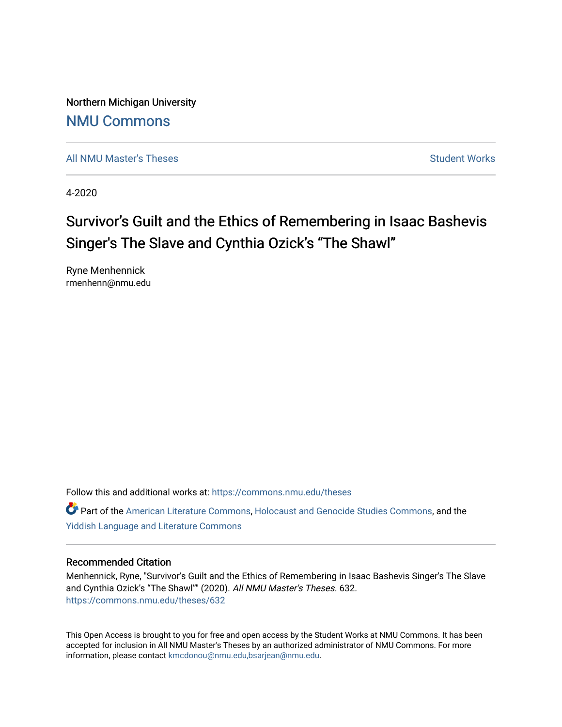Northern Michigan University [NMU Commons](https://commons.nmu.edu/) 

[All NMU Master's Theses](https://commons.nmu.edu/theses) [Student Works](https://commons.nmu.edu/student_works) Student Works Student Works

4-2020

# Survivor's Guilt and the Ethics of Remembering in Isaac Bashevis Singer's The Slave and Cynthia Ozick's "The Shawl"

Ryne Menhennick rmenhenn@nmu.edu

Follow this and additional works at: [https://commons.nmu.edu/theses](https://commons.nmu.edu/theses?utm_source=commons.nmu.edu%2Ftheses%2F632&utm_medium=PDF&utm_campaign=PDFCoverPages)

Part of the [American Literature Commons](http://network.bepress.com/hgg/discipline/441?utm_source=commons.nmu.edu%2Ftheses%2F632&utm_medium=PDF&utm_campaign=PDFCoverPages), [Holocaust and Genocide Studies Commons](http://network.bepress.com/hgg/discipline/1413?utm_source=commons.nmu.edu%2Ftheses%2F632&utm_medium=PDF&utm_campaign=PDFCoverPages), and the [Yiddish Language and Literature Commons](http://network.bepress.com/hgg/discipline/1293?utm_source=commons.nmu.edu%2Ftheses%2F632&utm_medium=PDF&utm_campaign=PDFCoverPages) 

#### Recommended Citation

Menhennick, Ryne, "Survivor's Guilt and the Ethics of Remembering in Isaac Bashevis Singer's The Slave and Cynthia Ozick's "The Shawl"" (2020). All NMU Master's Theses. 632. [https://commons.nmu.edu/theses/632](https://commons.nmu.edu/theses/632?utm_source=commons.nmu.edu%2Ftheses%2F632&utm_medium=PDF&utm_campaign=PDFCoverPages) 

This Open Access is brought to you for free and open access by the Student Works at NMU Commons. It has been accepted for inclusion in All NMU Master's Theses by an authorized administrator of NMU Commons. For more information, please contact [kmcdonou@nmu.edu,bsarjean@nmu.edu](mailto:kmcdonou@nmu.edu,bsarjean@nmu.edu).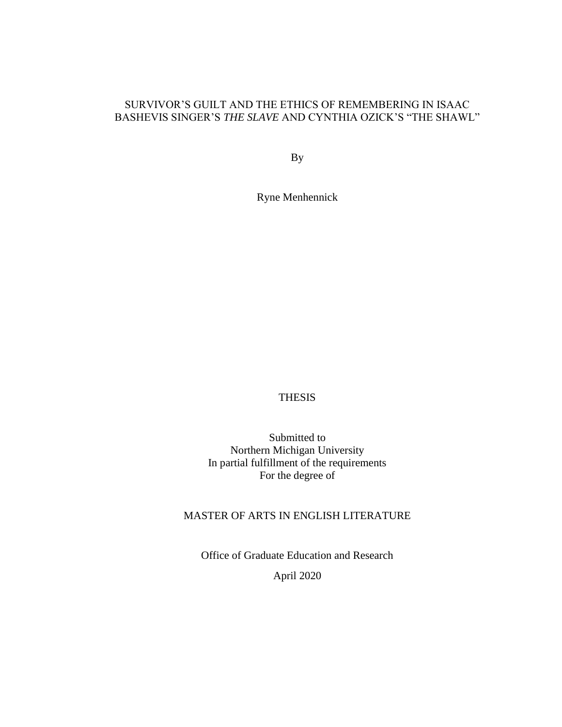### SURVIVOR'S GUILT AND THE ETHICS OF REMEMBERING IN ISAAC BASHEVIS SINGER'S *THE SLAVE* AND CYNTHIA OZICK'S "THE SHAWL"

By

Ryne Menhennick

THESIS

Submitted to Northern Michigan University In partial fulfillment of the requirements For the degree of

## MASTER OF ARTS IN ENGLISH LITERATURE

Office of Graduate Education and Research April 2020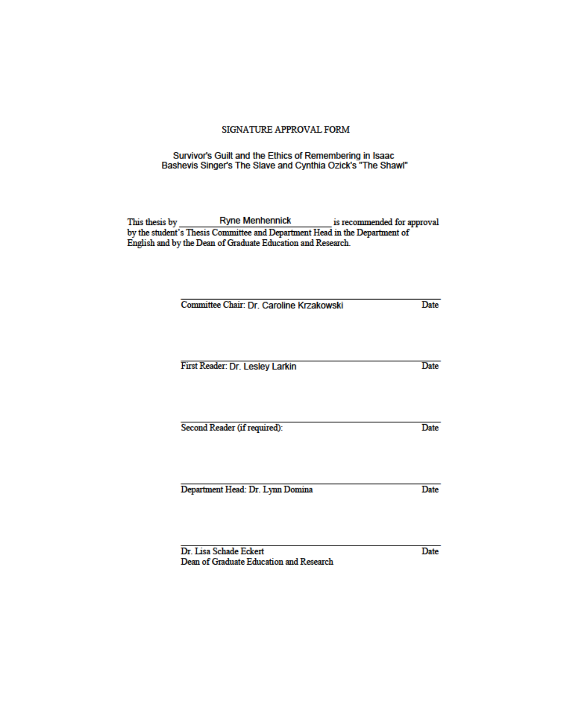#### SIGNATURE APPROVAL FORM

# Survivor's Guilt and the Ethics of Remembering in Isaac<br>Bashevis Singer's The Slave and Cynthia Ozick's "The Shawl"

This thesis by Ryne Menhennick is recommended for approval<br>by the student's Thesis Committee and Department Head in the Department of<br>English and by the Dean of Graduate Education and Research.

| Date |
|------|
| Date |
|      |
| Date |
| Date |
|      |

Dr. Lisa Schade Eckert Dean of Graduate Education and Research Date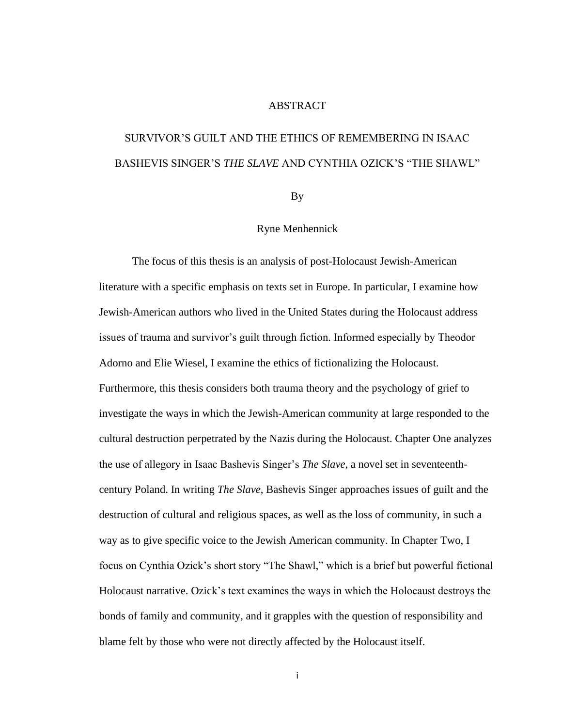#### **ABSTRACT**

# SURVIVOR'S GUILT AND THE ETHICS OF REMEMBERING IN ISAAC BASHEVIS SINGER'S *THE SLAVE* AND CYNTHIA OZICK'S "THE SHAWL"

By

#### Ryne Menhennick

The focus of this thesis is an analysis of post-Holocaust Jewish-American literature with a specific emphasis on texts set in Europe. In particular, I examine how Jewish-American authors who lived in the United States during the Holocaust address issues of trauma and survivor's guilt through fiction. Informed especially by Theodor Adorno and Elie Wiesel, I examine the ethics of fictionalizing the Holocaust. Furthermore, this thesis considers both trauma theory and the psychology of grief to investigate the ways in which the Jewish-American community at large responded to the cultural destruction perpetrated by the Nazis during the Holocaust. Chapter One analyzes the use of allegory in Isaac Bashevis Singer's *The Slave*, a novel set in seventeenthcentury Poland. In writing *The Slave*, Bashevis Singer approaches issues of guilt and the destruction of cultural and religious spaces, as well as the loss of community, in such a way as to give specific voice to the Jewish American community. In Chapter Two, I focus on Cynthia Ozick's short story "The Shawl," which is a brief but powerful fictional Holocaust narrative. Ozick's text examines the ways in which the Holocaust destroys the bonds of family and community, and it grapples with the question of responsibility and blame felt by those who were not directly affected by the Holocaust itself.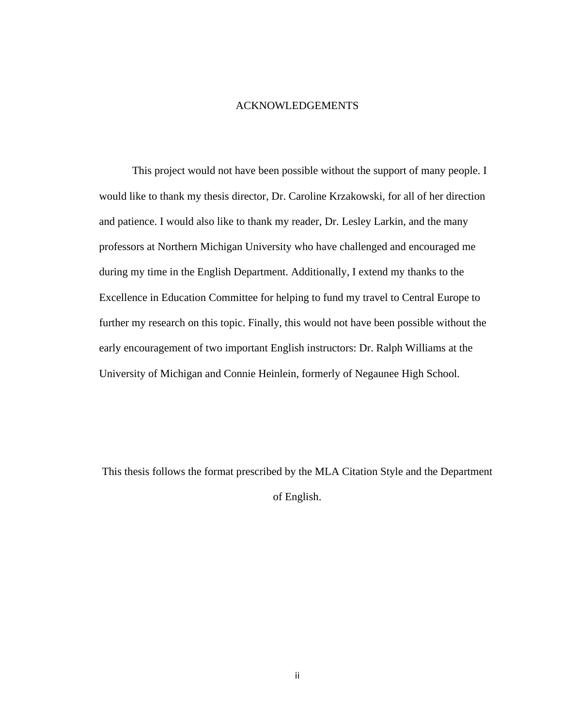#### ACKNOWLEDGEMENTS

This project would not have been possible without the support of many people. I would like to thank my thesis director, Dr. Caroline Krzakowski, for all of her direction and patience. I would also like to thank my reader, Dr. Lesley Larkin, and the many professors at Northern Michigan University who have challenged and encouraged me during my time in the English Department. Additionally, I extend my thanks to the Excellence in Education Committee for helping to fund my travel to Central Europe to further my research on this topic. Finally, this would not have been possible without the early encouragement of two important English instructors: Dr. Ralph Williams at the University of Michigan and Connie Heinlein, formerly of Negaunee High School.

This thesis follows the format prescribed by the MLA Citation Style and the Department of English.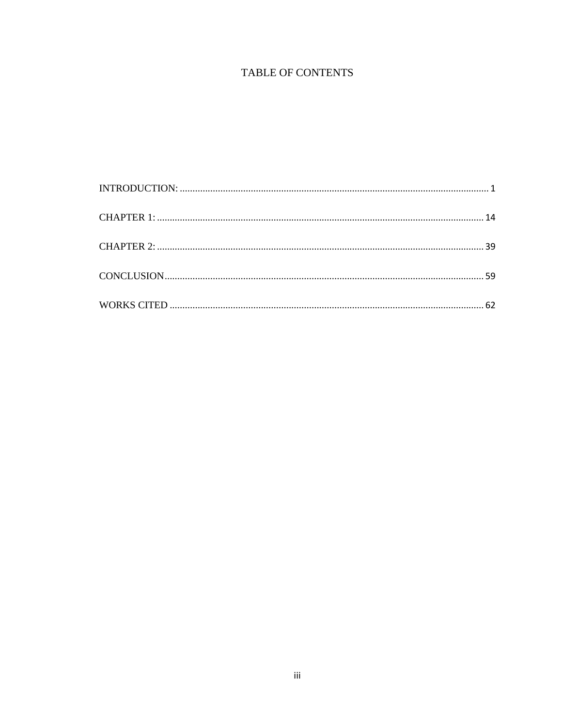# TABLE OF CONTENTS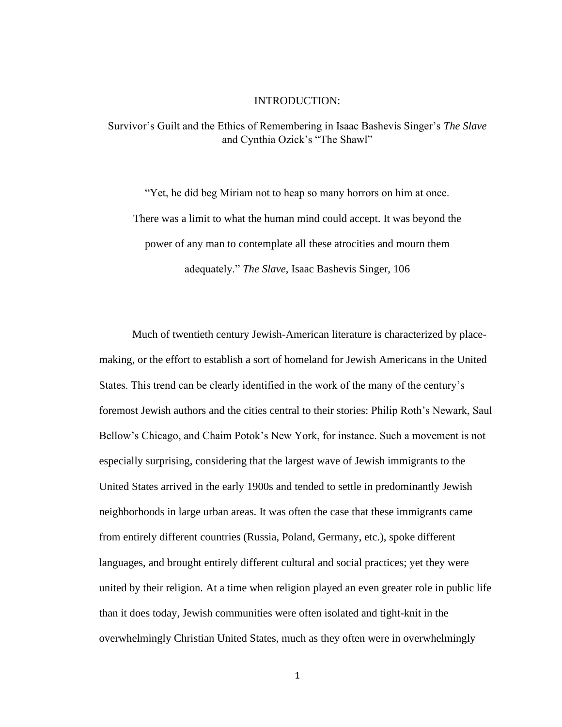#### INTRODUCTION:

<span id="page-6-0"></span>Survivor's Guilt and the Ethics of Remembering in Isaac Bashevis Singer's *The Slave* and Cynthia Ozick's "The Shawl"

"Yet, he did beg Miriam not to heap so many horrors on him at once. There was a limit to what the human mind could accept. It was beyond the power of any man to contemplate all these atrocities and mourn them adequately." *The Slave*, Isaac Bashevis Singer, 106

Much of twentieth century Jewish-American literature is characterized by placemaking, or the effort to establish a sort of homeland for Jewish Americans in the United States. This trend can be clearly identified in the work of the many of the century's foremost Jewish authors and the cities central to their stories: Philip Roth's Newark, Saul Bellow's Chicago, and Chaim Potok's New York, for instance. Such a movement is not especially surprising, considering that the largest wave of Jewish immigrants to the United States arrived in the early 1900s and tended to settle in predominantly Jewish neighborhoods in large urban areas. It was often the case that these immigrants came from entirely different countries (Russia, Poland, Germany, etc.), spoke different languages, and brought entirely different cultural and social practices; yet they were united by their religion. At a time when religion played an even greater role in public life than it does today, Jewish communities were often isolated and tight-knit in the overwhelmingly Christian United States, much as they often were in overwhelmingly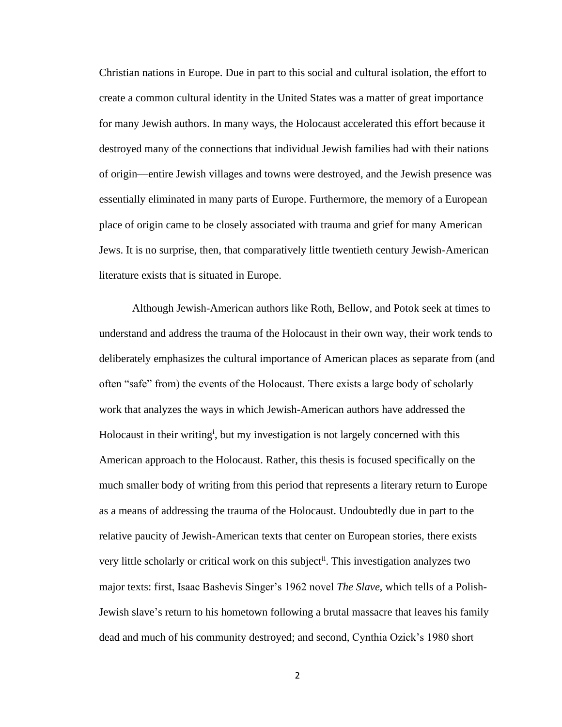Christian nations in Europe. Due in part to this social and cultural isolation, the effort to create a common cultural identity in the United States was a matter of great importance for many Jewish authors. In many ways, the Holocaust accelerated this effort because it destroyed many of the connections that individual Jewish families had with their nations of origin—entire Jewish villages and towns were destroyed, and the Jewish presence was essentially eliminated in many parts of Europe. Furthermore, the memory of a European place of origin came to be closely associated with trauma and grief for many American Jews. It is no surprise, then, that comparatively little twentieth century Jewish-American literature exists that is situated in Europe.

Although Jewish-American authors like Roth, Bellow, and Potok seek at times to understand and address the trauma of the Holocaust in their own way, their work tends to deliberately emphasizes the cultural importance of American places as separate from (and often "safe" from) the events of the Holocaust. There exists a large body of scholarly work that analyzes the ways in which Jewish-American authors have addressed the Holocaust in their writing<sup>i</sup>, but my investigation is not largely concerned with this American approach to the Holocaust. Rather, this thesis is focused specifically on the much smaller body of writing from this period that represents a literary return to Europe as a means of addressing the trauma of the Holocaust. Undoubtedly due in part to the relative paucity of Jewish-American texts that center on European stories, there exists very little scholarly or critical work on this subject<sup>ii</sup>. This investigation analyzes two major texts: first, Isaac Bashevis Singer's 1962 novel *The Slave*, which tells of a Polish-Jewish slave's return to his hometown following a brutal massacre that leaves his family dead and much of his community destroyed; and second, Cynthia Ozick's 1980 short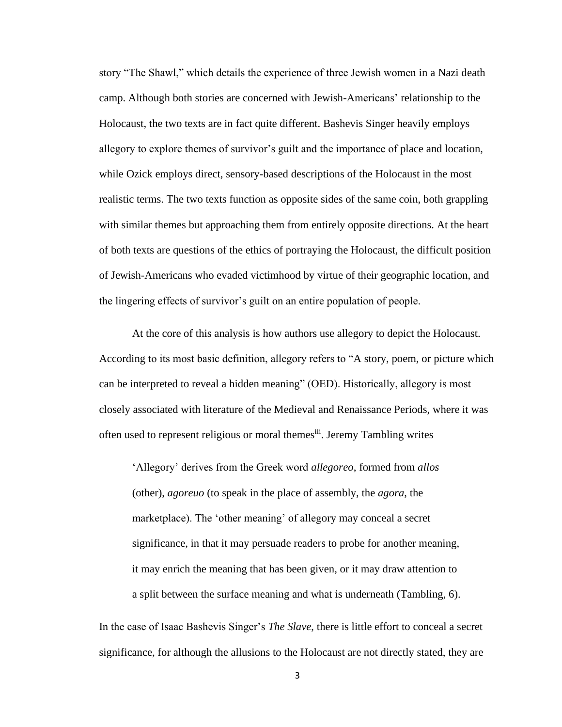story "The Shawl," which details the experience of three Jewish women in a Nazi death camp. Although both stories are concerned with Jewish-Americans' relationship to the Holocaust, the two texts are in fact quite different. Bashevis Singer heavily employs allegory to explore themes of survivor's guilt and the importance of place and location, while Ozick employs direct, sensory-based descriptions of the Holocaust in the most realistic terms. The two texts function as opposite sides of the same coin, both grappling with similar themes but approaching them from entirely opposite directions. At the heart of both texts are questions of the ethics of portraying the Holocaust, the difficult position of Jewish-Americans who evaded victimhood by virtue of their geographic location, and the lingering effects of survivor's guilt on an entire population of people.

At the core of this analysis is how authors use allegory to depict the Holocaust. According to its most basic definition, allegory refers to "A story, poem, or picture which can be interpreted to reveal a hidden meaning" (OED). Historically, allegory is most closely associated with literature of the Medieval and Renaissance Periods, where it was often used to represent religious or moral themes<sup>iii</sup>. Jeremy Tambling writes

'Allegory' derives from the Greek word *allegoreo*, formed from *allos* (other), *agoreuo* (to speak in the place of assembly, the *agora*, the marketplace). The 'other meaning' of allegory may conceal a secret significance, in that it may persuade readers to probe for another meaning, it may enrich the meaning that has been given, or it may draw attention to a split between the surface meaning and what is underneath (Tambling, 6).

In the case of Isaac Bashevis Singer's *The Slave*, there is little effort to conceal a secret significance, for although the allusions to the Holocaust are not directly stated, they are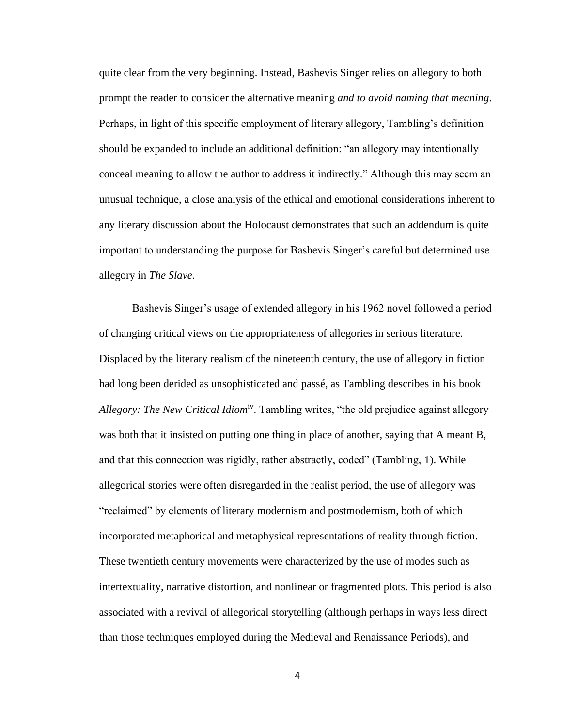quite clear from the very beginning. Instead, Bashevis Singer relies on allegory to both prompt the reader to consider the alternative meaning *and to avoid naming that meaning*. Perhaps, in light of this specific employment of literary allegory, Tambling's definition should be expanded to include an additional definition: "an allegory may intentionally conceal meaning to allow the author to address it indirectly." Although this may seem an unusual technique, a close analysis of the ethical and emotional considerations inherent to any literary discussion about the Holocaust demonstrates that such an addendum is quite important to understanding the purpose for Bashevis Singer's careful but determined use allegory in *The Slave*.

Bashevis Singer's usage of extended allegory in his 1962 novel followed a period of changing critical views on the appropriateness of allegories in serious literature. Displaced by the literary realism of the nineteenth century, the use of allegory in fiction had long been derided as unsophisticated and passé, as Tambling describes in his book *Allegory: The New Critical Idiom*iv. Tambling writes, "the old prejudice against allegory was both that it insisted on putting one thing in place of another, saying that A meant B, and that this connection was rigidly, rather abstractly, coded" (Tambling, 1). While allegorical stories were often disregarded in the realist period, the use of allegory was "reclaimed" by elements of literary modernism and postmodernism, both of which incorporated metaphorical and metaphysical representations of reality through fiction. These twentieth century movements were characterized by the use of modes such as intertextuality, narrative distortion, and nonlinear or fragmented plots. This period is also associated with a revival of allegorical storytelling (although perhaps in ways less direct than those techniques employed during the Medieval and Renaissance Periods), and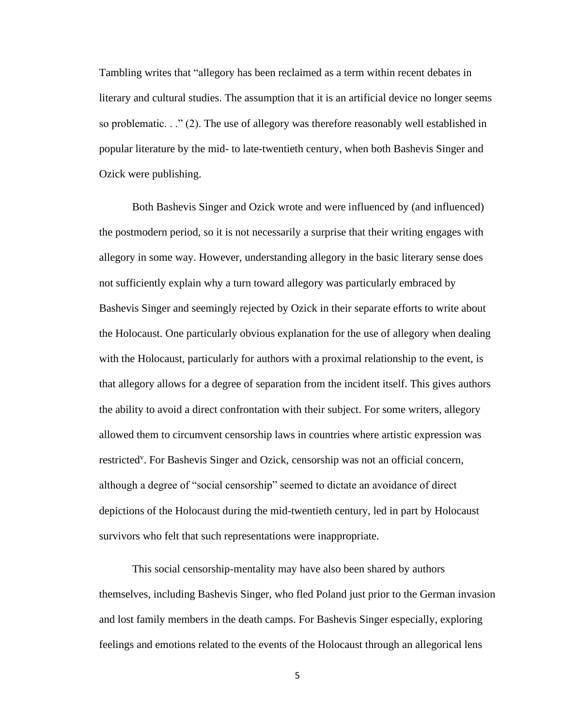Tambling writes that "allegory has been reclaimed as a term within recent debates in literary and cultural studies. The assumption that it is an artificial device no longer seems so problematic.  $\therefore$  (2). The use of allegory was therefore reasonably well established in popular literature by the mid- to late-twentieth century, when both Bashevis Singer and Ozick were publishing.

Both Bashevis Singer and Ozick wrote and were influenced by (and influenced) the postmodern period, so it is not necessarily a surprise that their writing engages with allegory in some way. However, understanding allegory in the basic literary sense does not sufficiently explain why a turn toward allegory was particularly embraced by Bashevis Singer and seemingly rejected by Ozick in their separate efforts to write about the Holocaust. One particularly obvious explanation for the use of allegory when dealing with the Holocaust, particularly for authors with a proximal relationship to the event, is that allegory allows for a degree of separation from the incident itself. This gives authors the ability to avoid a direct confrontation with their subject. For some writers, allegory allowed them to circumvent censorship laws in countries where artistic expression was restricted<sup>v</sup>. For Bashevis Singer and Ozick, censorship was not an official concern, although a degree of "social censorship" seemed to dictate an avoidance of direct depictions of the Holocaust during the mid-twentieth century, led in part by Holocaust survivors who felt that such representations were inappropriate.

This social censorship-mentality may have also been shared by authors themselves, including Bashevis Singer, who fled Poland just prior to the German invasion and lost family members in the death camps. For Bashevis Singer especially, exploring feelings and emotions related to the events of the Holocaust through an allegorical lens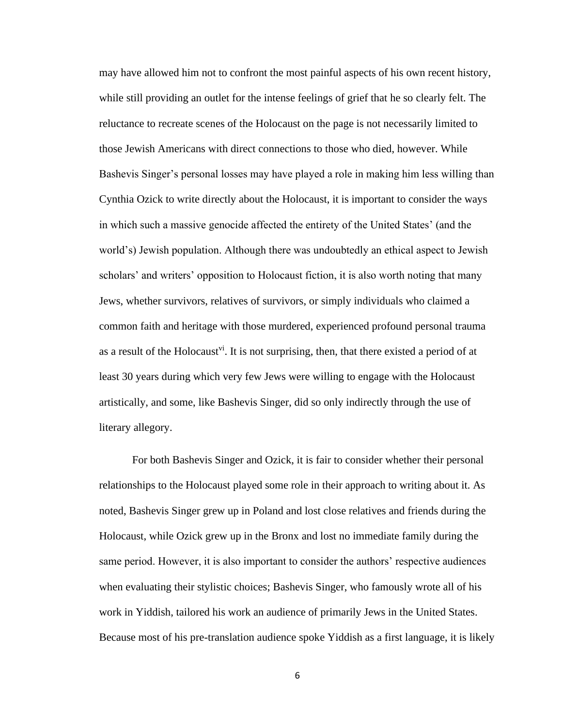may have allowed him not to confront the most painful aspects of his own recent history, while still providing an outlet for the intense feelings of grief that he so clearly felt. The reluctance to recreate scenes of the Holocaust on the page is not necessarily limited to those Jewish Americans with direct connections to those who died, however. While Bashevis Singer's personal losses may have played a role in making him less willing than Cynthia Ozick to write directly about the Holocaust, it is important to consider the ways in which such a massive genocide affected the entirety of the United States' (and the world's) Jewish population. Although there was undoubtedly an ethical aspect to Jewish scholars' and writers' opposition to Holocaust fiction, it is also worth noting that many Jews, whether survivors, relatives of survivors, or simply individuals who claimed a common faith and heritage with those murdered, experienced profound personal trauma as a result of the Holocaust<sup>vi</sup>. It is not surprising, then, that there existed a period of at least 30 years during which very few Jews were willing to engage with the Holocaust artistically, and some, like Bashevis Singer, did so only indirectly through the use of literary allegory.

For both Bashevis Singer and Ozick, it is fair to consider whether their personal relationships to the Holocaust played some role in their approach to writing about it. As noted, Bashevis Singer grew up in Poland and lost close relatives and friends during the Holocaust, while Ozick grew up in the Bronx and lost no immediate family during the same period. However, it is also important to consider the authors' respective audiences when evaluating their stylistic choices; Bashevis Singer, who famously wrote all of his work in Yiddish, tailored his work an audience of primarily Jews in the United States. Because most of his pre-translation audience spoke Yiddish as a first language, it is likely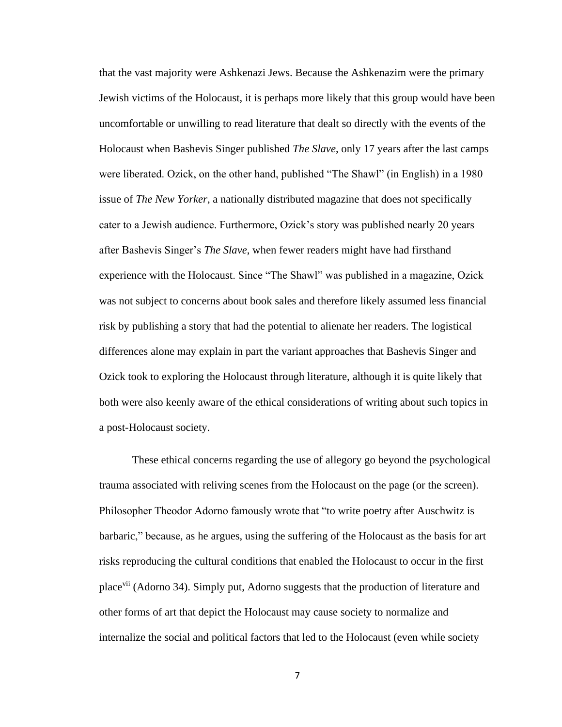that the vast majority were Ashkenazi Jews. Because the Ashkenazim were the primary Jewish victims of the Holocaust, it is perhaps more likely that this group would have been uncomfortable or unwilling to read literature that dealt so directly with the events of the Holocaust when Bashevis Singer published *The Slave*, only 17 years after the last camps were liberated. Ozick, on the other hand, published "The Shawl" (in English) in a 1980 issue of *The New Yorker*, a nationally distributed magazine that does not specifically cater to a Jewish audience. Furthermore, Ozick's story was published nearly 20 years after Bashevis Singer's *The Slave*, when fewer readers might have had firsthand experience with the Holocaust. Since "The Shawl" was published in a magazine, Ozick was not subject to concerns about book sales and therefore likely assumed less financial risk by publishing a story that had the potential to alienate her readers. The logistical differences alone may explain in part the variant approaches that Bashevis Singer and Ozick took to exploring the Holocaust through literature, although it is quite likely that both were also keenly aware of the ethical considerations of writing about such topics in a post-Holocaust society.

These ethical concerns regarding the use of allegory go beyond the psychological trauma associated with reliving scenes from the Holocaust on the page (or the screen). Philosopher Theodor Adorno famously wrote that "to write poetry after Auschwitz is barbaric," because, as he argues, using the suffering of the Holocaust as the basis for art risks reproducing the cultural conditions that enabled the Holocaust to occur in the first placevii (Adorno 34). Simply put, Adorno suggests that the production of literature and other forms of art that depict the Holocaust may cause society to normalize and internalize the social and political factors that led to the Holocaust (even while society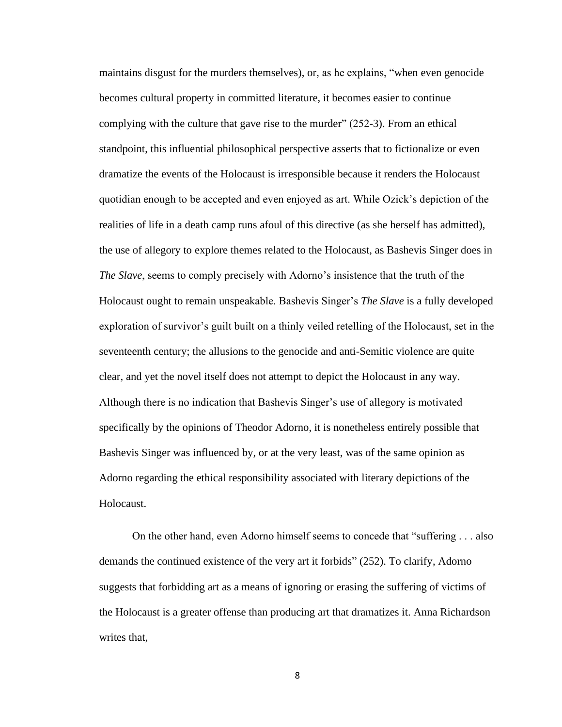maintains disgust for the murders themselves), or, as he explains, "when even genocide becomes cultural property in committed literature, it becomes easier to continue complying with the culture that gave rise to the murder" (252-3). From an ethical standpoint, this influential philosophical perspective asserts that to fictionalize or even dramatize the events of the Holocaust is irresponsible because it renders the Holocaust quotidian enough to be accepted and even enjoyed as art. While Ozick's depiction of the realities of life in a death camp runs afoul of this directive (as she herself has admitted), the use of allegory to explore themes related to the Holocaust, as Bashevis Singer does in *The Slave*, seems to comply precisely with Adorno's insistence that the truth of the Holocaust ought to remain unspeakable. Bashevis Singer's *The Slave* is a fully developed exploration of survivor's guilt built on a thinly veiled retelling of the Holocaust, set in the seventeenth century; the allusions to the genocide and anti-Semitic violence are quite clear, and yet the novel itself does not attempt to depict the Holocaust in any way. Although there is no indication that Bashevis Singer's use of allegory is motivated specifically by the opinions of Theodor Adorno, it is nonetheless entirely possible that Bashevis Singer was influenced by, or at the very least, was of the same opinion as Adorno regarding the ethical responsibility associated with literary depictions of the Holocaust.

On the other hand, even Adorno himself seems to concede that "suffering . . . also demands the continued existence of the very art it forbids" (252). To clarify, Adorno suggests that forbidding art as a means of ignoring or erasing the suffering of victims of the Holocaust is a greater offense than producing art that dramatizes it. Anna Richardson writes that,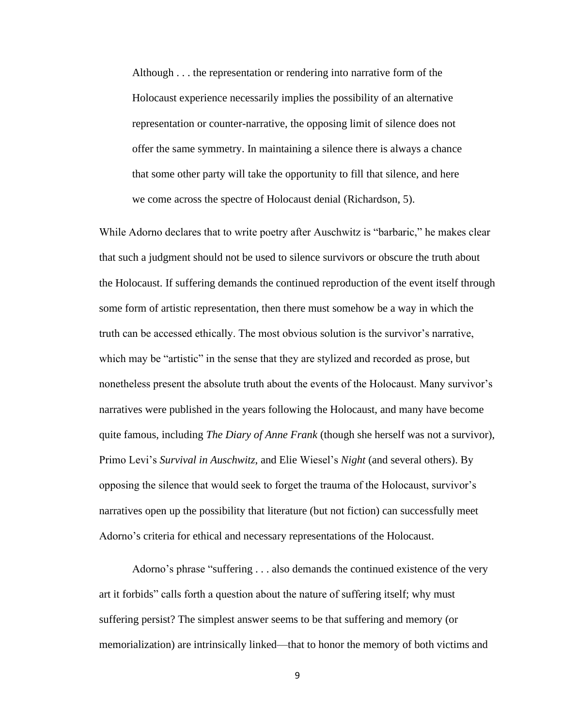Although . . . the representation or rendering into narrative form of the Holocaust experience necessarily implies the possibility of an alternative representation or counter-narrative, the opposing limit of silence does not offer the same symmetry. In maintaining a silence there is always a chance that some other party will take the opportunity to fill that silence, and here we come across the spectre of Holocaust denial (Richardson, 5).

While Adorno declares that to write poetry after Auschwitz is "barbaric," he makes clear that such a judgment should not be used to silence survivors or obscure the truth about the Holocaust. If suffering demands the continued reproduction of the event itself through some form of artistic representation, then there must somehow be a way in which the truth can be accessed ethically. The most obvious solution is the survivor's narrative, which may be "artistic" in the sense that they are stylized and recorded as prose, but nonetheless present the absolute truth about the events of the Holocaust. Many survivor's narratives were published in the years following the Holocaust, and many have become quite famous, including *The Diary of Anne Frank* (though she herself was not a survivor), Primo Levi's *Survival in Auschwitz*, and Elie Wiesel's *Night* (and several others). By opposing the silence that would seek to forget the trauma of the Holocaust, survivor's narratives open up the possibility that literature (but not fiction) can successfully meet Adorno's criteria for ethical and necessary representations of the Holocaust.

Adorno's phrase "suffering . . . also demands the continued existence of the very art it forbids" calls forth a question about the nature of suffering itself; why must suffering persist? The simplest answer seems to be that suffering and memory (or memorialization) are intrinsically linked—that to honor the memory of both victims and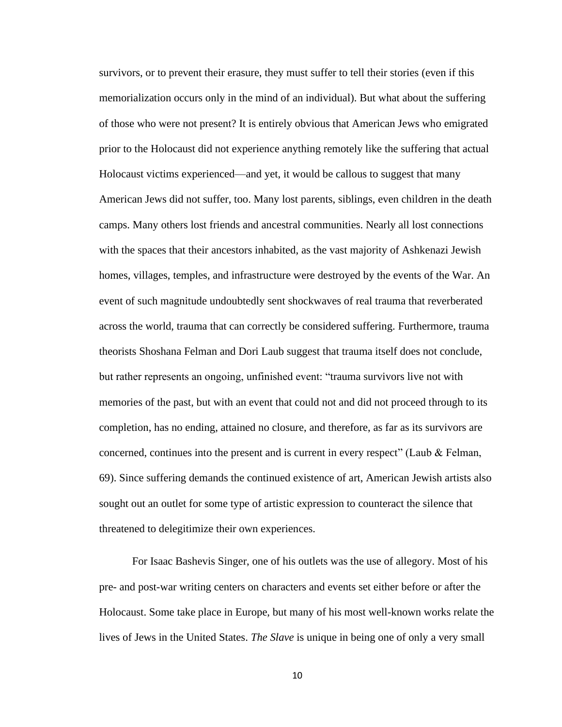survivors, or to prevent their erasure, they must suffer to tell their stories (even if this memorialization occurs only in the mind of an individual). But what about the suffering of those who were not present? It is entirely obvious that American Jews who emigrated prior to the Holocaust did not experience anything remotely like the suffering that actual Holocaust victims experienced—and yet, it would be callous to suggest that many American Jews did not suffer, too. Many lost parents, siblings, even children in the death camps. Many others lost friends and ancestral communities. Nearly all lost connections with the spaces that their ancestors inhabited, as the vast majority of Ashkenazi Jewish homes, villages, temples, and infrastructure were destroyed by the events of the War. An event of such magnitude undoubtedly sent shockwaves of real trauma that reverberated across the world, trauma that can correctly be considered suffering. Furthermore, trauma theorists Shoshana Felman and Dori Laub suggest that trauma itself does not conclude, but rather represents an ongoing, unfinished event: "trauma survivors live not with memories of the past, but with an event that could not and did not proceed through to its completion, has no ending, attained no closure, and therefore, as far as its survivors are concerned, continues into the present and is current in every respect" (Laub & Felman, 69). Since suffering demands the continued existence of art, American Jewish artists also sought out an outlet for some type of artistic expression to counteract the silence that threatened to delegitimize their own experiences.

For Isaac Bashevis Singer, one of his outlets was the use of allegory. Most of his pre- and post-war writing centers on characters and events set either before or after the Holocaust. Some take place in Europe, but many of his most well-known works relate the lives of Jews in the United States. *The Slave* is unique in being one of only a very small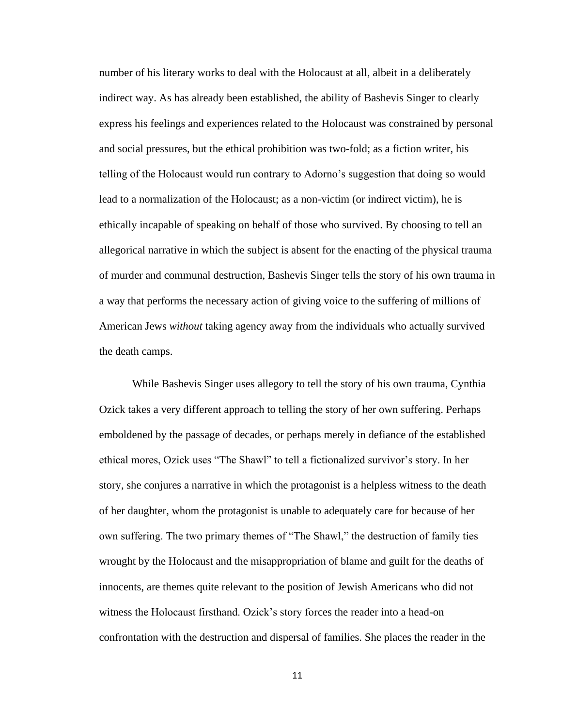number of his literary works to deal with the Holocaust at all, albeit in a deliberately indirect way. As has already been established, the ability of Bashevis Singer to clearly express his feelings and experiences related to the Holocaust was constrained by personal and social pressures, but the ethical prohibition was two-fold; as a fiction writer, his telling of the Holocaust would run contrary to Adorno's suggestion that doing so would lead to a normalization of the Holocaust; as a non-victim (or indirect victim), he is ethically incapable of speaking on behalf of those who survived. By choosing to tell an allegorical narrative in which the subject is absent for the enacting of the physical trauma of murder and communal destruction, Bashevis Singer tells the story of his own trauma in a way that performs the necessary action of giving voice to the suffering of millions of American Jews *without* taking agency away from the individuals who actually survived the death camps.

While Bashevis Singer uses allegory to tell the story of his own trauma, Cynthia Ozick takes a very different approach to telling the story of her own suffering. Perhaps emboldened by the passage of decades, or perhaps merely in defiance of the established ethical mores, Ozick uses "The Shawl" to tell a fictionalized survivor's story. In her story, she conjures a narrative in which the protagonist is a helpless witness to the death of her daughter, whom the protagonist is unable to adequately care for because of her own suffering. The two primary themes of "The Shawl," the destruction of family ties wrought by the Holocaust and the misappropriation of blame and guilt for the deaths of innocents, are themes quite relevant to the position of Jewish Americans who did not witness the Holocaust firsthand. Ozick's story forces the reader into a head-on confrontation with the destruction and dispersal of families. She places the reader in the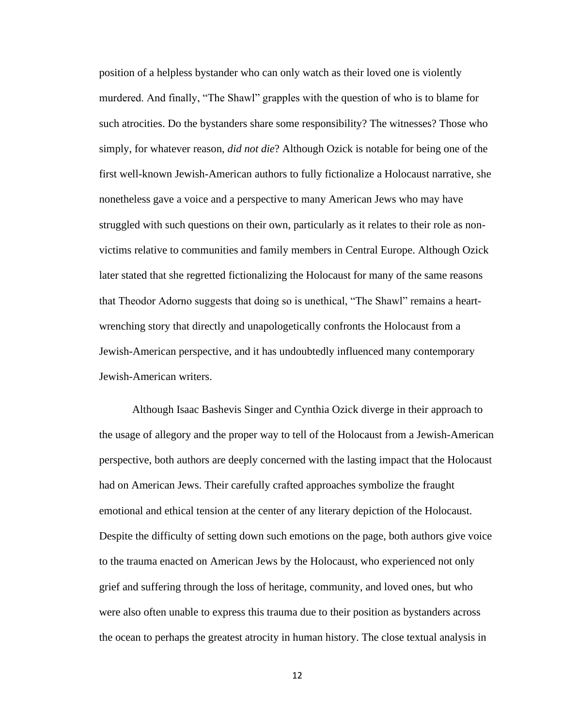position of a helpless bystander who can only watch as their loved one is violently murdered. And finally, "The Shawl" grapples with the question of who is to blame for such atrocities. Do the bystanders share some responsibility? The witnesses? Those who simply, for whatever reason, *did not die*? Although Ozick is notable for being one of the first well-known Jewish-American authors to fully fictionalize a Holocaust narrative, she nonetheless gave a voice and a perspective to many American Jews who may have struggled with such questions on their own, particularly as it relates to their role as nonvictims relative to communities and family members in Central Europe. Although Ozick later stated that she regretted fictionalizing the Holocaust for many of the same reasons that Theodor Adorno suggests that doing so is unethical, "The Shawl" remains a heartwrenching story that directly and unapologetically confronts the Holocaust from a Jewish-American perspective, and it has undoubtedly influenced many contemporary Jewish-American writers.

Although Isaac Bashevis Singer and Cynthia Ozick diverge in their approach to the usage of allegory and the proper way to tell of the Holocaust from a Jewish-American perspective, both authors are deeply concerned with the lasting impact that the Holocaust had on American Jews. Their carefully crafted approaches symbolize the fraught emotional and ethical tension at the center of any literary depiction of the Holocaust. Despite the difficulty of setting down such emotions on the page, both authors give voice to the trauma enacted on American Jews by the Holocaust, who experienced not only grief and suffering through the loss of heritage, community, and loved ones, but who were also often unable to express this trauma due to their position as bystanders across the ocean to perhaps the greatest atrocity in human history. The close textual analysis in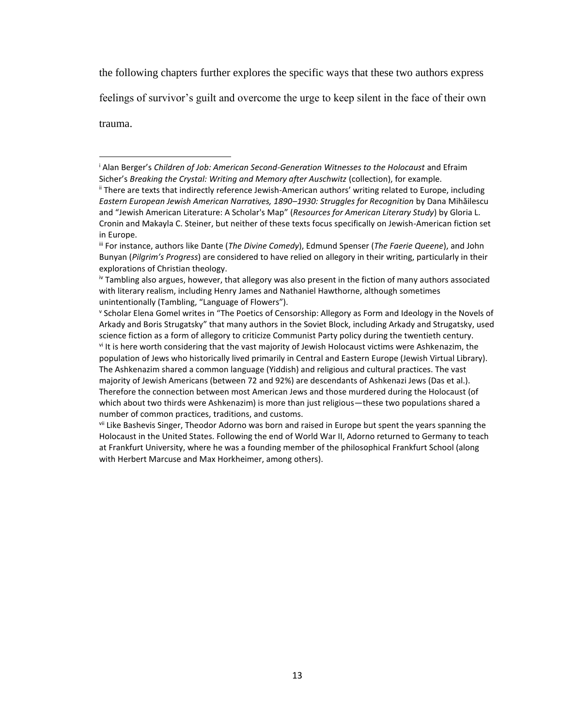the following chapters further explores the specific ways that these two authors express

feelings of survivor's guilt and overcome the urge to keep silent in the face of their own

trauma.

<sup>i</sup> Alan Berger's *Children of Job: American Second-Generation Witnesses to the Holocaust* and Efraim Sicher's *Breaking the Crystal: Writing and Memory after Auschwitz* (collection), for example. ii There are texts that indirectly reference Jewish-American authors' writing related to Europe, including *Eastern European Jewish American Narratives, 1890–1930: Struggles for Recognition* by Dana Mihăilescu and "Jewish American Literature: A Scholar's Map" (*Resources for American Literary Study*) by Gloria L. Cronin and Makayla C. Steiner, but neither of these texts focus specifically on Jewish-American fiction set in Europe.

iii For instance, authors like Dante (*The Divine Comedy*), Edmund Spenser (*The Faerie Queene*), and John Bunyan (*Pilgrim's Progress*) are considered to have relied on allegory in their writing, particularly in their explorations of Christian theology.

iv Tambling also argues, however, that allegory was also present in the fiction of many authors associated with literary realism, including Henry James and Nathaniel Hawthorne, although sometimes unintentionally (Tambling, "Language of Flowers").

v Scholar Elena Gomel writes in "The Poetics of Censorship: Allegory as Form and Ideology in the Novels of Arkady and Boris Strugatsky" that many authors in the Soviet Block, including Arkady and Strugatsky, used science fiction as a form of allegory to criticize Communist Party policy during the twentieth century. vi It is here worth considering that the vast majority of Jewish Holocaust victims were Ashkenazim, the population of Jews who historically lived primarily in Central and Eastern Europe (Jewish Virtual Library). The Ashkenazim shared a common language (Yiddish) and religious and cultural practices. The vast majority of Jewish Americans (between 72 and 92%) are descendants of Ashkenazi Jews (Das et al.). Therefore the connection between most American Jews and those murdered during the Holocaust (of which about two thirds were Ashkenazim) is more than just religious—these two populations shared a number of common practices, traditions, and customs.

vii Like Bashevis Singer, Theodor Adorno was born and raised in Europe but spent the years spanning the Holocaust in the United States. Following the end of World War II, Adorno returned to Germany to teach at Frankfurt University, where he was a founding member of the philosophical Frankfurt School (along with Herbert Marcuse and Max Horkheimer, among others).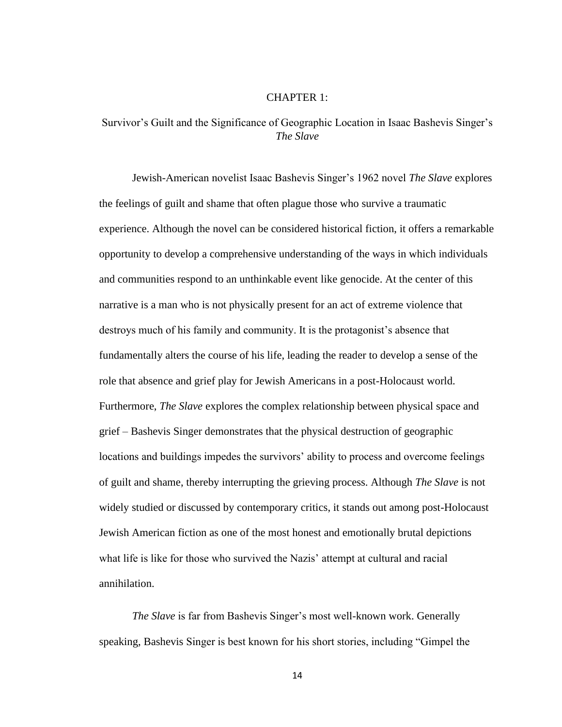#### CHAPTER 1:

## <span id="page-19-0"></span>Survivor's Guilt and the Significance of Geographic Location in Isaac Bashevis Singer's *The Slave*

Jewish-American novelist Isaac Bashevis Singer's 1962 novel *The Slave* explores the feelings of guilt and shame that often plague those who survive a traumatic experience. Although the novel can be considered historical fiction, it offers a remarkable opportunity to develop a comprehensive understanding of the ways in which individuals and communities respond to an unthinkable event like genocide. At the center of this narrative is a man who is not physically present for an act of extreme violence that destroys much of his family and community. It is the protagonist's absence that fundamentally alters the course of his life, leading the reader to develop a sense of the role that absence and grief play for Jewish Americans in a post-Holocaust world. Furthermore, *The Slave* explores the complex relationship between physical space and grief – Bashevis Singer demonstrates that the physical destruction of geographic locations and buildings impedes the survivors' ability to process and overcome feelings of guilt and shame, thereby interrupting the grieving process. Although *The Slave* is not widely studied or discussed by contemporary critics, it stands out among post-Holocaust Jewish American fiction as one of the most honest and emotionally brutal depictions what life is like for those who survived the Nazis' attempt at cultural and racial annihilation.

*The Slave* is far from Bashevis Singer's most well-known work. Generally speaking, Bashevis Singer is best known for his short stories, including "Gimpel the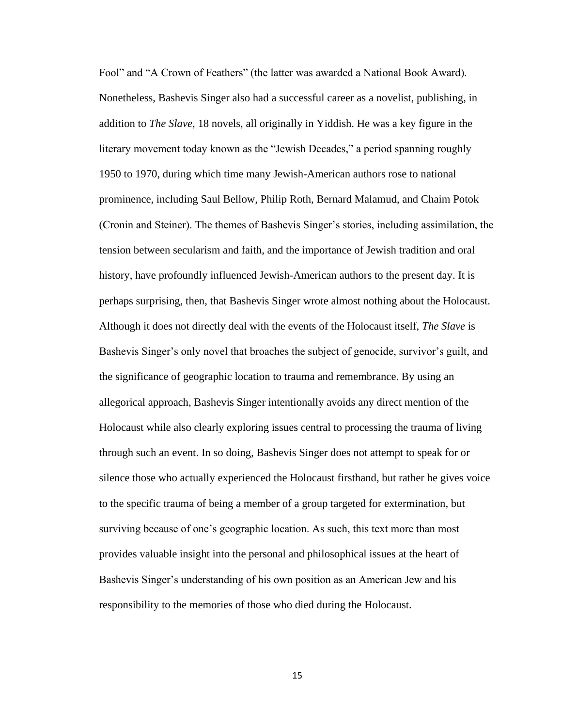Fool" and "A Crown of Feathers" (the latter was awarded a National Book Award). Nonetheless, Bashevis Singer also had a successful career as a novelist, publishing, in addition to *The Slave*, 18 novels, all originally in Yiddish. He was a key figure in the literary movement today known as the "Jewish Decades," a period spanning roughly 1950 to 1970, during which time many Jewish-American authors rose to national prominence, including Saul Bellow, Philip Roth, Bernard Malamud, and Chaim Potok (Cronin and Steiner). The themes of Bashevis Singer's stories, including assimilation, the tension between secularism and faith, and the importance of Jewish tradition and oral history, have profoundly influenced Jewish-American authors to the present day. It is perhaps surprising, then, that Bashevis Singer wrote almost nothing about the Holocaust. Although it does not directly deal with the events of the Holocaust itself, *The Slave* is Bashevis Singer's only novel that broaches the subject of genocide, survivor's guilt, and the significance of geographic location to trauma and remembrance. By using an allegorical approach, Bashevis Singer intentionally avoids any direct mention of the Holocaust while also clearly exploring issues central to processing the trauma of living through such an event. In so doing, Bashevis Singer does not attempt to speak for or silence those who actually experienced the Holocaust firsthand, but rather he gives voice to the specific trauma of being a member of a group targeted for extermination, but surviving because of one's geographic location. As such, this text more than most provides valuable insight into the personal and philosophical issues at the heart of Bashevis Singer's understanding of his own position as an American Jew and his responsibility to the memories of those who died during the Holocaust.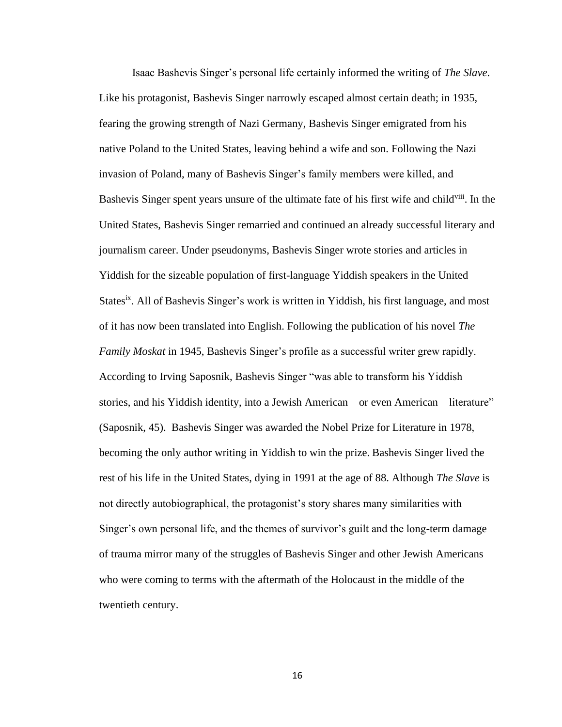Isaac Bashevis Singer's personal life certainly informed the writing of *The Slave*. Like his protagonist, Bashevis Singer narrowly escaped almost certain death; in 1935, fearing the growing strength of Nazi Germany, Bashevis Singer emigrated from his native Poland to the United States, leaving behind a wife and son. Following the Nazi invasion of Poland, many of Bashevis Singer's family members were killed, and Bashevis Singer spent years unsure of the ultimate fate of his first wife and child<sup>viii</sup>. In the United States, Bashevis Singer remarried and continued an already successful literary and journalism career. Under pseudonyms, Bashevis Singer wrote stories and articles in Yiddish for the sizeable population of first-language Yiddish speakers in the United States<sup>ix</sup>. All of Bashevis Singer's work is written in Yiddish, his first language, and most of it has now been translated into English. Following the publication of his novel *The Family Moskat* in 1945, Bashevis Singer's profile as a successful writer grew rapidly. According to Irving Saposnik, Bashevis Singer "was able to transform his Yiddish stories, and his Yiddish identity, into a Jewish American – or even American – literature" (Saposnik, 45). Bashevis Singer was awarded the Nobel Prize for Literature in 1978, becoming the only author writing in Yiddish to win the prize. Bashevis Singer lived the rest of his life in the United States, dying in 1991 at the age of 88. Although *The Slave* is not directly autobiographical, the protagonist's story shares many similarities with Singer's own personal life, and the themes of survivor's guilt and the long-term damage of trauma mirror many of the struggles of Bashevis Singer and other Jewish Americans who were coming to terms with the aftermath of the Holocaust in the middle of the twentieth century.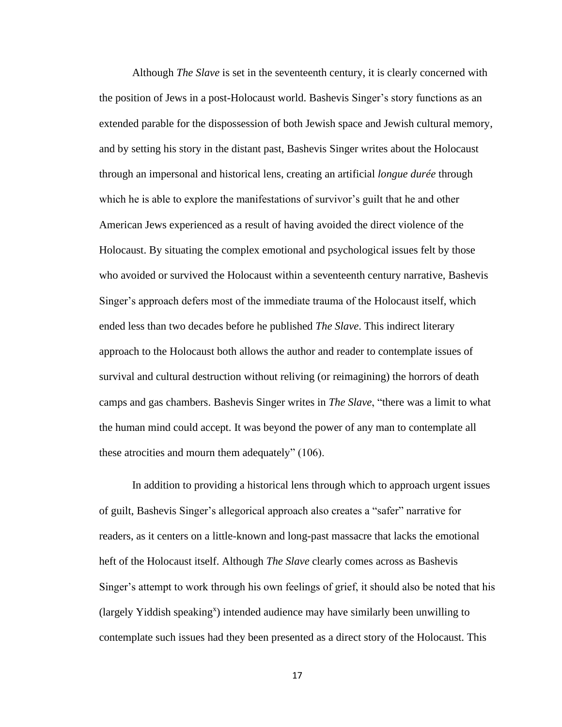Although *The Slave* is set in the seventeenth century, it is clearly concerned with the position of Jews in a post-Holocaust world. Bashevis Singer's story functions as an extended parable for the dispossession of both Jewish space and Jewish cultural memory, and by setting his story in the distant past, Bashevis Singer writes about the Holocaust through an impersonal and historical lens, creating an artificial *longue durée* through which he is able to explore the manifestations of survivor's guilt that he and other American Jews experienced as a result of having avoided the direct violence of the Holocaust. By situating the complex emotional and psychological issues felt by those who avoided or survived the Holocaust within a seventeenth century narrative, Bashevis Singer's approach defers most of the immediate trauma of the Holocaust itself, which ended less than two decades before he published *The Slave*. This indirect literary approach to the Holocaust both allows the author and reader to contemplate issues of survival and cultural destruction without reliving (or reimagining) the horrors of death camps and gas chambers. Bashevis Singer writes in *The Slave*, "there was a limit to what the human mind could accept. It was beyond the power of any man to contemplate all these atrocities and mourn them adequately" (106).

In addition to providing a historical lens through which to approach urgent issues of guilt, Bashevis Singer's allegorical approach also creates a "safer" narrative for readers, as it centers on a little-known and long-past massacre that lacks the emotional heft of the Holocaust itself. Although *The Slave* clearly comes across as Bashevis Singer's attempt to work through his own feelings of grief, it should also be noted that his (largely Yiddish speaking<sup>x</sup>) intended audience may have similarly been unwilling to contemplate such issues had they been presented as a direct story of the Holocaust. This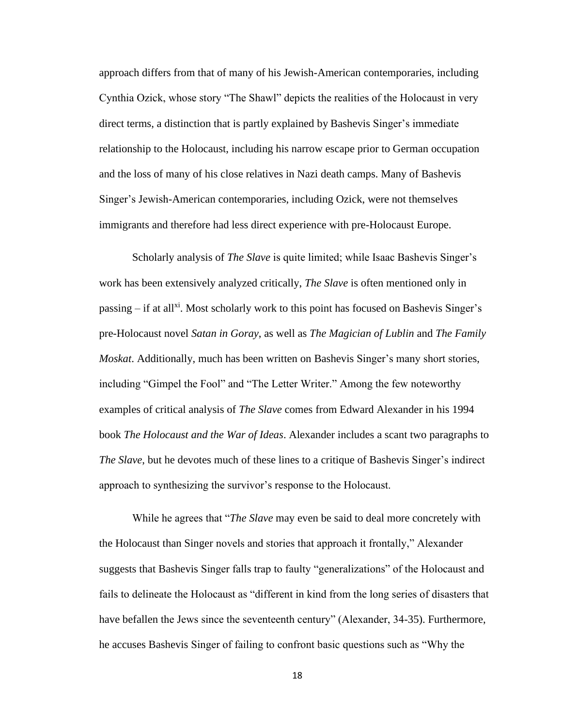approach differs from that of many of his Jewish-American contemporaries, including Cynthia Ozick, whose story "The Shawl" depicts the realities of the Holocaust in very direct terms, a distinction that is partly explained by Bashevis Singer's immediate relationship to the Holocaust, including his narrow escape prior to German occupation and the loss of many of his close relatives in Nazi death camps. Many of Bashevis Singer's Jewish-American contemporaries, including Ozick, were not themselves immigrants and therefore had less direct experience with pre-Holocaust Europe.

Scholarly analysis of *The Slave* is quite limited; while Isaac Bashevis Singer's work has been extensively analyzed critically, *The Slave* is often mentioned only in passing – if at all<sup>xi</sup>. Most scholarly work to this point has focused on Bashevis Singer's pre-Holocaust novel *Satan in Goray*, as well as *The Magician of Lublin* and *The Family Moskat*. Additionally, much has been written on Bashevis Singer's many short stories, including "Gimpel the Fool" and "The Letter Writer." Among the few noteworthy examples of critical analysis of *The Slave* comes from Edward Alexander in his 1994 book *The Holocaust and the War of Ideas*. Alexander includes a scant two paragraphs to *The Slave*, but he devotes much of these lines to a critique of Bashevis Singer's indirect approach to synthesizing the survivor's response to the Holocaust.

While he agrees that "*The Slave* may even be said to deal more concretely with the Holocaust than Singer novels and stories that approach it frontally," Alexander suggests that Bashevis Singer falls trap to faulty "generalizations" of the Holocaust and fails to delineate the Holocaust as "different in kind from the long series of disasters that have befallen the Jews since the seventeenth century" (Alexander, 34-35). Furthermore, he accuses Bashevis Singer of failing to confront basic questions such as "Why the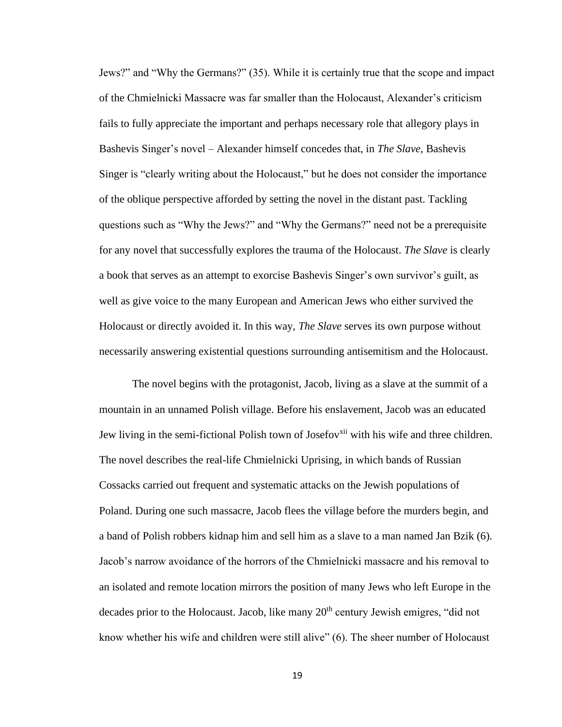Jews?" and "Why the Germans?" (35). While it is certainly true that the scope and impact of the Chmielnicki Massacre was far smaller than the Holocaust, Alexander's criticism fails to fully appreciate the important and perhaps necessary role that allegory plays in Bashevis Singer's novel – Alexander himself concedes that, in *The Slave*, Bashevis Singer is "clearly writing about the Holocaust," but he does not consider the importance of the oblique perspective afforded by setting the novel in the distant past. Tackling questions such as "Why the Jews?" and "Why the Germans?" need not be a prerequisite for any novel that successfully explores the trauma of the Holocaust. *The Slave* is clearly a book that serves as an attempt to exorcise Bashevis Singer's own survivor's guilt, as well as give voice to the many European and American Jews who either survived the Holocaust or directly avoided it. In this way, *The Slave* serves its own purpose without necessarily answering existential questions surrounding antisemitism and the Holocaust.

The novel begins with the protagonist, Jacob, living as a slave at the summit of a mountain in an unnamed Polish village. Before his enslavement, Jacob was an educated Jew living in the semi-fictional Polish town of Josefov<sup>xii</sup> with his wife and three children. The novel describes the real-life Chmielnicki Uprising, in which bands of Russian Cossacks carried out frequent and systematic attacks on the Jewish populations of Poland. During one such massacre, Jacob flees the village before the murders begin, and a band of Polish robbers kidnap him and sell him as a slave to a man named Jan Bzik (6). Jacob's narrow avoidance of the horrors of the Chmielnicki massacre and his removal to an isolated and remote location mirrors the position of many Jews who left Europe in the decades prior to the Holocaust. Jacob, like many  $20<sup>th</sup>$  century Jewish emigres, "did not know whether his wife and children were still alive" (6). The sheer number of Holocaust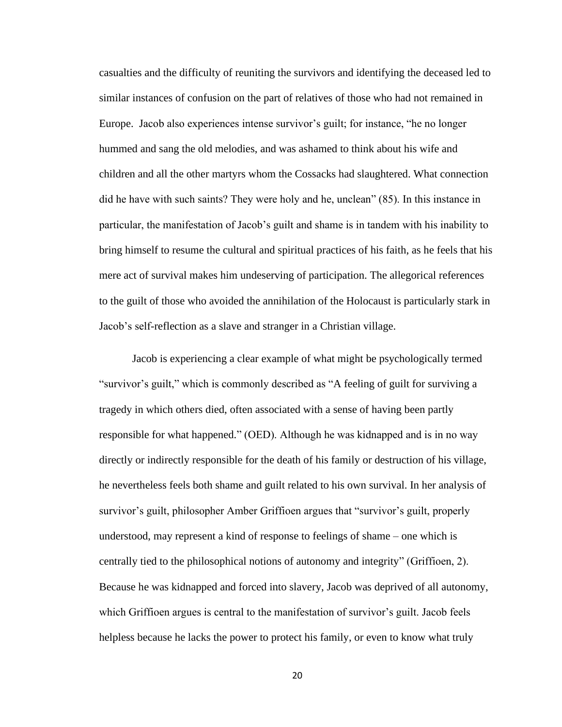casualties and the difficulty of reuniting the survivors and identifying the deceased led to similar instances of confusion on the part of relatives of those who had not remained in Europe. Jacob also experiences intense survivor's guilt; for instance, "he no longer hummed and sang the old melodies, and was ashamed to think about his wife and children and all the other martyrs whom the Cossacks had slaughtered. What connection did he have with such saints? They were holy and he, unclean" (85). In this instance in particular, the manifestation of Jacob's guilt and shame is in tandem with his inability to bring himself to resume the cultural and spiritual practices of his faith, as he feels that his mere act of survival makes him undeserving of participation. The allegorical references to the guilt of those who avoided the annihilation of the Holocaust is particularly stark in Jacob's self-reflection as a slave and stranger in a Christian village.

Jacob is experiencing a clear example of what might be psychologically termed "survivor's guilt," which is commonly described as "A feeling of guilt for surviving a tragedy in which others died, often associated with a sense of having been partly responsible for what happened." (OED). Although he was kidnapped and is in no way directly or indirectly responsible for the death of his family or destruction of his village, he nevertheless feels both shame and guilt related to his own survival. In her analysis of survivor's guilt, philosopher Amber Griffioen argues that "survivor's guilt, properly understood, may represent a kind of response to feelings of shame – one which is centrally tied to the philosophical notions of autonomy and integrity" (Griffioen, 2). Because he was kidnapped and forced into slavery, Jacob was deprived of all autonomy, which Griffioen argues is central to the manifestation of survivor's guilt. Jacob feels helpless because he lacks the power to protect his family, or even to know what truly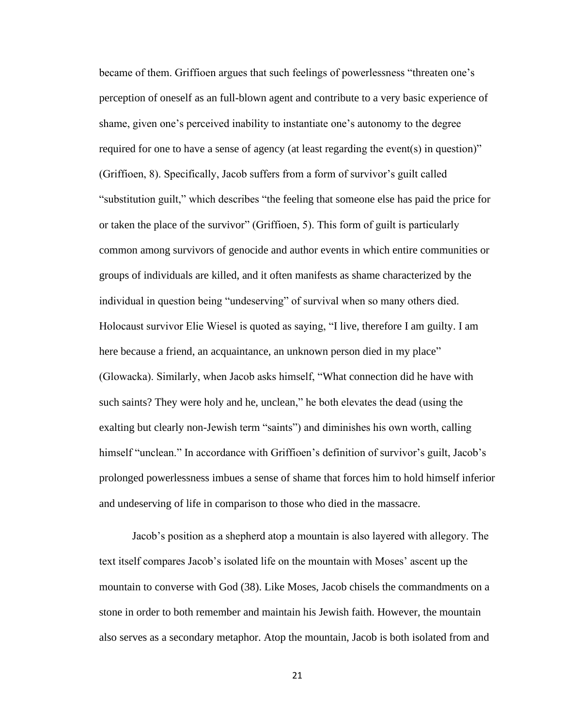became of them. Griffioen argues that such feelings of powerlessness "threaten one's perception of oneself as an full-blown agent and contribute to a very basic experience of shame, given one's perceived inability to instantiate one's autonomy to the degree required for one to have a sense of agency (at least regarding the event(s) in question)" (Griffioen, 8). Specifically, Jacob suffers from a form of survivor's guilt called "substitution guilt," which describes "the feeling that someone else has paid the price for or taken the place of the survivor" (Griffioen, 5). This form of guilt is particularly common among survivors of genocide and author events in which entire communities or groups of individuals are killed, and it often manifests as shame characterized by the individual in question being "undeserving" of survival when so many others died. Holocaust survivor Elie Wiesel is quoted as saying, "I live, therefore I am guilty. I am here because a friend, an acquaintance, an unknown person died in my place" (Glowacka). Similarly, when Jacob asks himself, "What connection did he have with such saints? They were holy and he, unclean," he both elevates the dead (using the exalting but clearly non-Jewish term "saints") and diminishes his own worth, calling himself "unclean." In accordance with Griffioen's definition of survivor's guilt, Jacob's prolonged powerlessness imbues a sense of shame that forces him to hold himself inferior and undeserving of life in comparison to those who died in the massacre.

Jacob's position as a shepherd atop a mountain is also layered with allegory. The text itself compares Jacob's isolated life on the mountain with Moses' ascent up the mountain to converse with God (38). Like Moses, Jacob chisels the commandments on a stone in order to both remember and maintain his Jewish faith. However, the mountain also serves as a secondary metaphor. Atop the mountain, Jacob is both isolated from and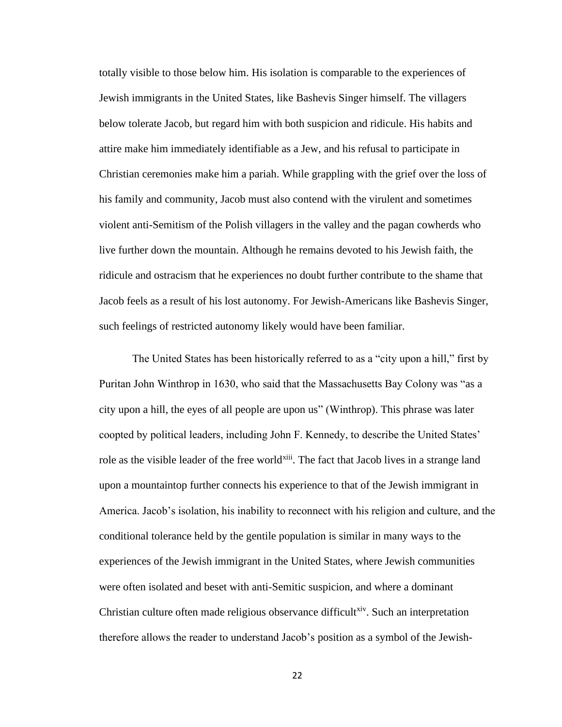totally visible to those below him. His isolation is comparable to the experiences of Jewish immigrants in the United States, like Bashevis Singer himself. The villagers below tolerate Jacob, but regard him with both suspicion and ridicule. His habits and attire make him immediately identifiable as a Jew, and his refusal to participate in Christian ceremonies make him a pariah. While grappling with the grief over the loss of his family and community, Jacob must also contend with the virulent and sometimes violent anti-Semitism of the Polish villagers in the valley and the pagan cowherds who live further down the mountain. Although he remains devoted to his Jewish faith, the ridicule and ostracism that he experiences no doubt further contribute to the shame that Jacob feels as a result of his lost autonomy. For Jewish-Americans like Bashevis Singer, such feelings of restricted autonomy likely would have been familiar.

The United States has been historically referred to as a "city upon a hill," first by Puritan John Winthrop in 1630, who said that the Massachusetts Bay Colony was "as a city upon a hill, the eyes of all people are upon us" (Winthrop). This phrase was later coopted by political leaders, including John F. Kennedy, to describe the United States' role as the visible leader of the free world<sup>xiii</sup>. The fact that Jacob lives in a strange land upon a mountaintop further connects his experience to that of the Jewish immigrant in America. Jacob's isolation, his inability to reconnect with his religion and culture, and the conditional tolerance held by the gentile population is similar in many ways to the experiences of the Jewish immigrant in the United States, where Jewish communities were often isolated and beset with anti-Semitic suspicion, and where a dominant Christian culture often made religious observance difficult<sup>xiv</sup>. Such an interpretation therefore allows the reader to understand Jacob's position as a symbol of the Jewish-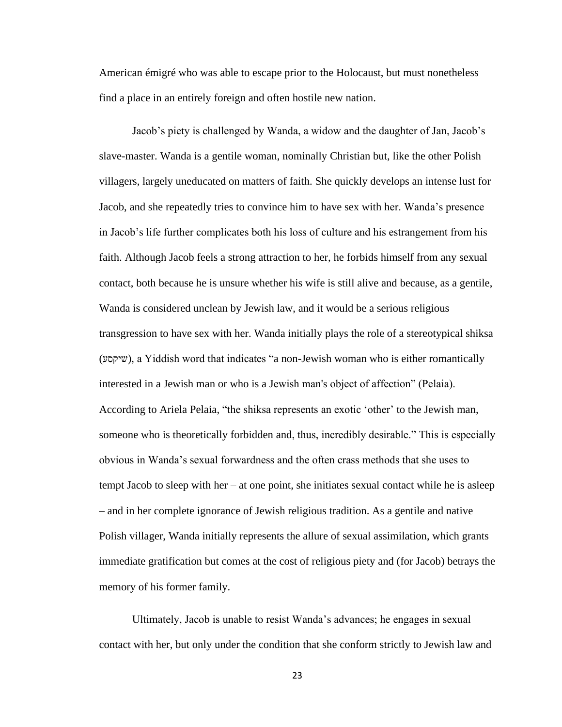American émigré who was able to escape prior to the Holocaust, but must nonetheless find a place in an entirely foreign and often hostile new nation.

Jacob's piety is challenged by Wanda, a widow and the daughter of Jan, Jacob's slave-master. Wanda is a gentile woman, nominally Christian but, like the other Polish villagers, largely uneducated on matters of faith. She quickly develops an intense lust for Jacob, and she repeatedly tries to convince him to have sex with her. Wanda's presence in Jacob's life further complicates both his loss of culture and his estrangement from his faith. Although Jacob feels a strong attraction to her, he forbids himself from any sexual contact, both because he is unsure whether his wife is still alive and because, as a gentile, Wanda is considered unclean by Jewish law, and it would be a serious religious transgression to have sex with her. Wanda initially plays the role of a stereotypical shiksa (שיקסע(, a Yiddish word that indicates "a non-Jewish woman who is either romantically interested in a Jewish man or who is a Jewish man's object of affection" (Pelaia). According to Ariela Pelaia, "the shiksa represents an exotic 'other' to the Jewish man, someone who is theoretically forbidden and, thus, incredibly desirable." This is especially obvious in Wanda's sexual forwardness and the often crass methods that she uses to tempt Jacob to sleep with her – at one point, she initiates sexual contact while he is asleep – and in her complete ignorance of Jewish religious tradition. As a gentile and native Polish villager, Wanda initially represents the allure of sexual assimilation, which grants immediate gratification but comes at the cost of religious piety and (for Jacob) betrays the memory of his former family.

Ultimately, Jacob is unable to resist Wanda's advances; he engages in sexual contact with her, but only under the condition that she conform strictly to Jewish law and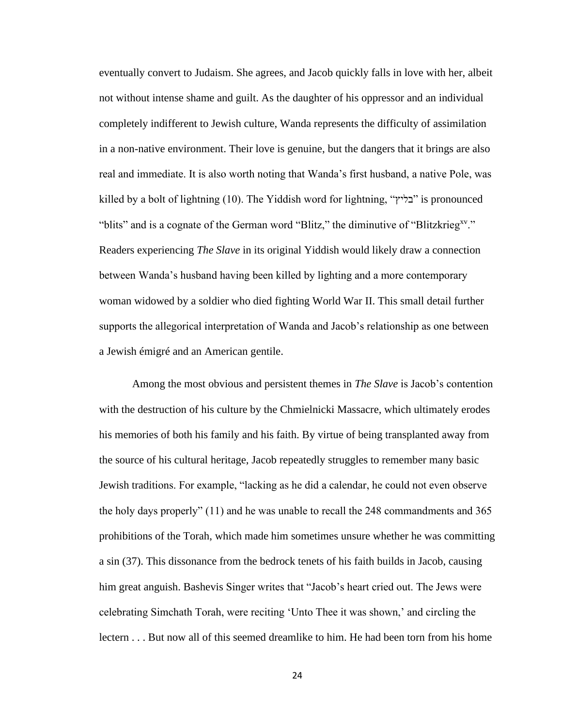eventually convert to Judaism. She agrees, and Jacob quickly falls in love with her, albeit not without intense shame and guilt. As the daughter of his oppressor and an individual completely indifferent to Jewish culture, Wanda represents the difficulty of assimilation in a non-native environment. Their love is genuine, but the dangers that it brings are also real and immediate. It is also worth noting that Wanda's first husband, a native Pole, was killed by a bolt of lightning (10). The Yiddish word for lightning, "בליץ" is pronounced "blits" and is a cognate of the German word "Blitz," the diminutive of "Blitzkrieg<sup>xy</sup>." Readers experiencing *The Slave* in its original Yiddish would likely draw a connection between Wanda's husband having been killed by lighting and a more contemporary woman widowed by a soldier who died fighting World War II. This small detail further supports the allegorical interpretation of Wanda and Jacob's relationship as one between a Jewish émigré and an American gentile.

Among the most obvious and persistent themes in *The Slave* is Jacob's contention with the destruction of his culture by the Chmielnicki Massacre, which ultimately erodes his memories of both his family and his faith. By virtue of being transplanted away from the source of his cultural heritage, Jacob repeatedly struggles to remember many basic Jewish traditions. For example, "lacking as he did a calendar, he could not even observe the holy days properly" (11) and he was unable to recall the 248 commandments and 365 prohibitions of the Torah, which made him sometimes unsure whether he was committing a sin (37). This dissonance from the bedrock tenets of his faith builds in Jacob, causing him great anguish. Bashevis Singer writes that "Jacob's heart cried out. The Jews were celebrating Simchath Torah, were reciting 'Unto Thee it was shown,' and circling the lectern . . . But now all of this seemed dreamlike to him. He had been torn from his home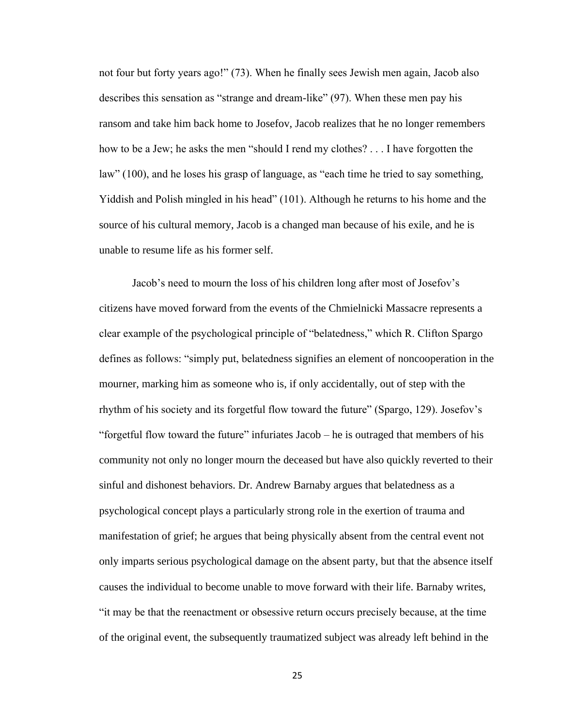not four but forty years ago!" (73). When he finally sees Jewish men again, Jacob also describes this sensation as "strange and dream-like" (97). When these men pay his ransom and take him back home to Josefov, Jacob realizes that he no longer remembers how to be a Jew; he asks the men "should I rend my clothes? . . . I have forgotten the law" (100), and he loses his grasp of language, as "each time he tried to say something, Yiddish and Polish mingled in his head" (101). Although he returns to his home and the source of his cultural memory, Jacob is a changed man because of his exile, and he is unable to resume life as his former self.

Jacob's need to mourn the loss of his children long after most of Josefov's citizens have moved forward from the events of the Chmielnicki Massacre represents a clear example of the psychological principle of "belatedness," which R. Clifton Spargo defines as follows: "simply put, belatedness signifies an element of noncooperation in the mourner, marking him as someone who is, if only accidentally, out of step with the rhythm of his society and its forgetful flow toward the future" (Spargo, 129). Josefov's "forgetful flow toward the future" infuriates Jacob – he is outraged that members of his community not only no longer mourn the deceased but have also quickly reverted to their sinful and dishonest behaviors. Dr. Andrew Barnaby argues that belatedness as a psychological concept plays a particularly strong role in the exertion of trauma and manifestation of grief; he argues that being physically absent from the central event not only imparts serious psychological damage on the absent party, but that the absence itself causes the individual to become unable to move forward with their life. Barnaby writes, "it may be that the reenactment or obsessive return occurs precisely because, at the time of the original event, the subsequently traumatized subject was already left behind in the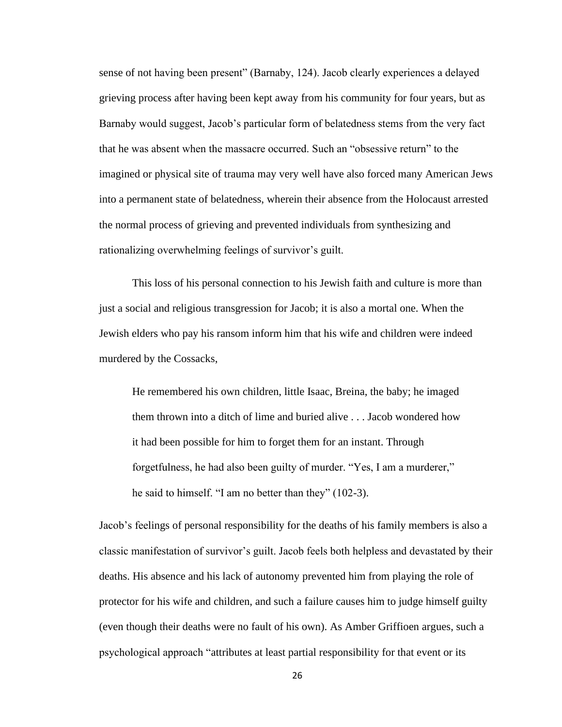sense of not having been present" (Barnaby, 124). Jacob clearly experiences a delayed grieving process after having been kept away from his community for four years, but as Barnaby would suggest, Jacob's particular form of belatedness stems from the very fact that he was absent when the massacre occurred. Such an "obsessive return" to the imagined or physical site of trauma may very well have also forced many American Jews into a permanent state of belatedness, wherein their absence from the Holocaust arrested the normal process of grieving and prevented individuals from synthesizing and rationalizing overwhelming feelings of survivor's guilt.

This loss of his personal connection to his Jewish faith and culture is more than just a social and religious transgression for Jacob; it is also a mortal one. When the Jewish elders who pay his ransom inform him that his wife and children were indeed murdered by the Cossacks,

He remembered his own children, little Isaac, Breina, the baby; he imaged them thrown into a ditch of lime and buried alive . . . Jacob wondered how it had been possible for him to forget them for an instant. Through forgetfulness, he had also been guilty of murder. "Yes, I am a murderer," he said to himself. "I am no better than they" (102-3).

Jacob's feelings of personal responsibility for the deaths of his family members is also a classic manifestation of survivor's guilt. Jacob feels both helpless and devastated by their deaths. His absence and his lack of autonomy prevented him from playing the role of protector for his wife and children, and such a failure causes him to judge himself guilty (even though their deaths were no fault of his own). As Amber Griffioen argues, such a psychological approach "attributes at least partial responsibility for that event or its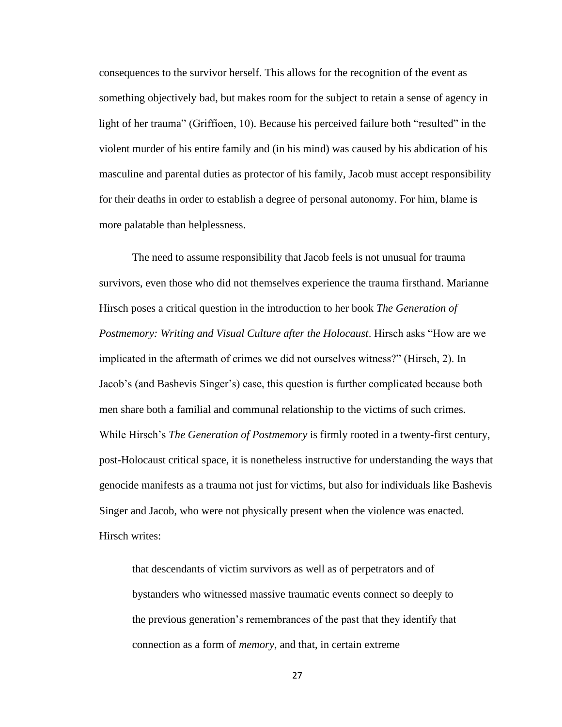consequences to the survivor herself. This allows for the recognition of the event as something objectively bad, but makes room for the subject to retain a sense of agency in light of her trauma" (Griffioen, 10). Because his perceived failure both "resulted" in the violent murder of his entire family and (in his mind) was caused by his abdication of his masculine and parental duties as protector of his family, Jacob must accept responsibility for their deaths in order to establish a degree of personal autonomy. For him, blame is more palatable than helplessness.

The need to assume responsibility that Jacob feels is not unusual for trauma survivors, even those who did not themselves experience the trauma firsthand. Marianne Hirsch poses a critical question in the introduction to her book *The Generation of Postmemory: Writing and Visual Culture after the Holocaust*. Hirsch asks "How are we implicated in the aftermath of crimes we did not ourselves witness?" (Hirsch, 2). In Jacob's (and Bashevis Singer's) case, this question is further complicated because both men share both a familial and communal relationship to the victims of such crimes. While Hirsch's *The Generation of Postmemory* is firmly rooted in a twenty-first century, post-Holocaust critical space, it is nonetheless instructive for understanding the ways that genocide manifests as a trauma not just for victims, but also for individuals like Bashevis Singer and Jacob, who were not physically present when the violence was enacted. Hirsch writes:

that descendants of victim survivors as well as of perpetrators and of bystanders who witnessed massive traumatic events connect so deeply to the previous generation's remembrances of the past that they identify that connection as a form of *memory*, and that, in certain extreme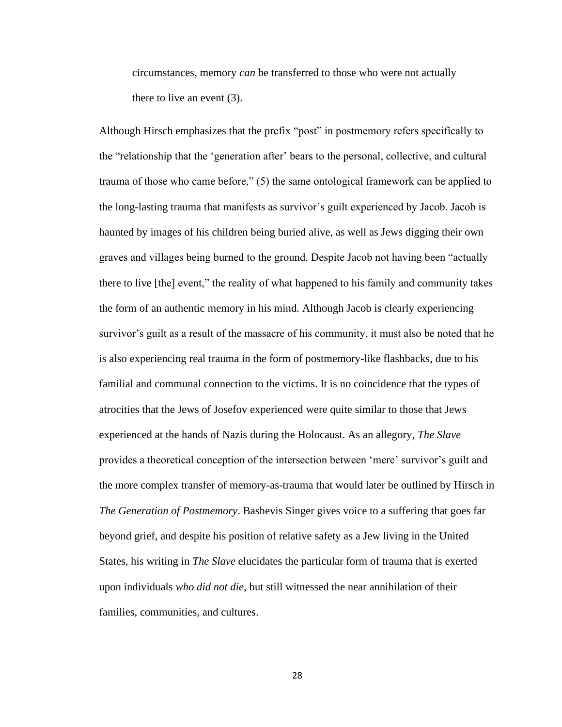circumstances, memory *can* be transferred to those who were not actually there to live an event (3).

Although Hirsch emphasizes that the prefix "post" in postmemory refers specifically to the "relationship that the 'generation after' bears to the personal, collective, and cultural trauma of those who came before," (5) the same ontological framework can be applied to the long-lasting trauma that manifests as survivor's guilt experienced by Jacob. Jacob is haunted by images of his children being buried alive, as well as Jews digging their own graves and villages being burned to the ground. Despite Jacob not having been "actually there to live [the] event," the reality of what happened to his family and community takes the form of an authentic memory in his mind. Although Jacob is clearly experiencing survivor's guilt as a result of the massacre of his community, it must also be noted that he is also experiencing real trauma in the form of postmemory-like flashbacks, due to his familial and communal connection to the victims. It is no coincidence that the types of atrocities that the Jews of Josefov experienced were quite similar to those that Jews experienced at the hands of Nazis during the Holocaust. As an allegory, *The Slave* provides a theoretical conception of the intersection between 'mere' survivor's guilt and the more complex transfer of memory-as-trauma that would later be outlined by Hirsch in *The Generation of Postmemory*. Bashevis Singer gives voice to a suffering that goes far beyond grief, and despite his position of relative safety as a Jew living in the United States, his writing in *The Slave* elucidates the particular form of trauma that is exerted upon individuals *who did not die*, but still witnessed the near annihilation of their families, communities, and cultures.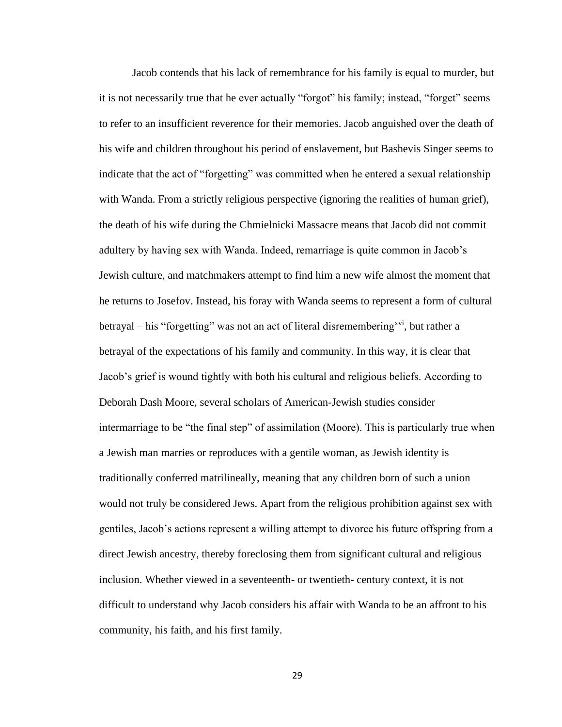Jacob contends that his lack of remembrance for his family is equal to murder, but it is not necessarily true that he ever actually "forgot" his family; instead, "forget" seems to refer to an insufficient reverence for their memories. Jacob anguished over the death of his wife and children throughout his period of enslavement, but Bashevis Singer seems to indicate that the act of "forgetting" was committed when he entered a sexual relationship with Wanda. From a strictly religious perspective (ignoring the realities of human grief), the death of his wife during the Chmielnicki Massacre means that Jacob did not commit adultery by having sex with Wanda. Indeed, remarriage is quite common in Jacob's Jewish culture, and matchmakers attempt to find him a new wife almost the moment that he returns to Josefov. Instead, his foray with Wanda seems to represent a form of cultural betrayal – his "forgetting" was not an act of literal disremembering<sup>xvi</sup>, but rather a betrayal of the expectations of his family and community. In this way, it is clear that Jacob's grief is wound tightly with both his cultural and religious beliefs. According to Deborah Dash Moore, several scholars of American-Jewish studies consider intermarriage to be "the final step" of assimilation (Moore). This is particularly true when a Jewish man marries or reproduces with a gentile woman, as Jewish identity is traditionally conferred matrilineally, meaning that any children born of such a union would not truly be considered Jews. Apart from the religious prohibition against sex with gentiles, Jacob's actions represent a willing attempt to divorce his future offspring from a direct Jewish ancestry, thereby foreclosing them from significant cultural and religious inclusion. Whether viewed in a seventeenth- or twentieth- century context, it is not difficult to understand why Jacob considers his affair with Wanda to be an affront to his community, his faith, and his first family.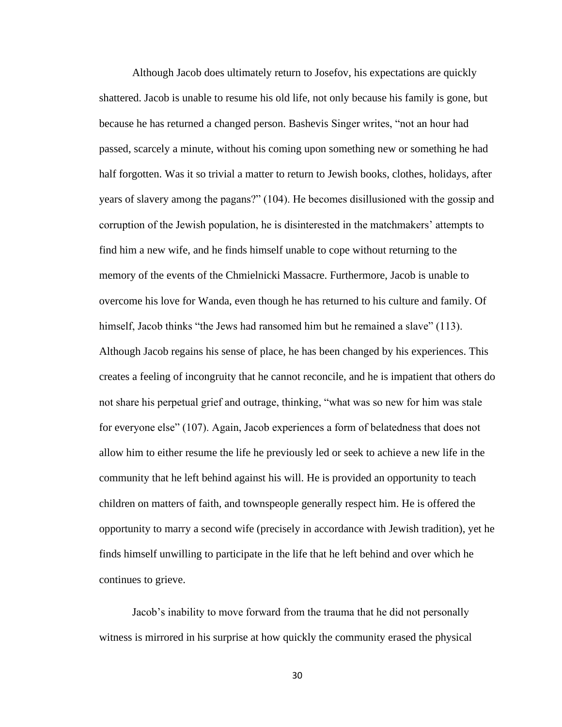Although Jacob does ultimately return to Josefov, his expectations are quickly shattered. Jacob is unable to resume his old life, not only because his family is gone, but because he has returned a changed person. Bashevis Singer writes, "not an hour had passed, scarcely a minute, without his coming upon something new or something he had half forgotten. Was it so trivial a matter to return to Jewish books, clothes, holidays, after years of slavery among the pagans?" (104). He becomes disillusioned with the gossip and corruption of the Jewish population, he is disinterested in the matchmakers' attempts to find him a new wife, and he finds himself unable to cope without returning to the memory of the events of the Chmielnicki Massacre. Furthermore, Jacob is unable to overcome his love for Wanda, even though he has returned to his culture and family. Of himself, Jacob thinks "the Jews had ransomed him but he remained a slave" (113). Although Jacob regains his sense of place, he has been changed by his experiences. This creates a feeling of incongruity that he cannot reconcile, and he is impatient that others do not share his perpetual grief and outrage, thinking, "what was so new for him was stale for everyone else" (107). Again, Jacob experiences a form of belatedness that does not allow him to either resume the life he previously led or seek to achieve a new life in the community that he left behind against his will. He is provided an opportunity to teach children on matters of faith, and townspeople generally respect him. He is offered the opportunity to marry a second wife (precisely in accordance with Jewish tradition), yet he finds himself unwilling to participate in the life that he left behind and over which he continues to grieve.

Jacob's inability to move forward from the trauma that he did not personally witness is mirrored in his surprise at how quickly the community erased the physical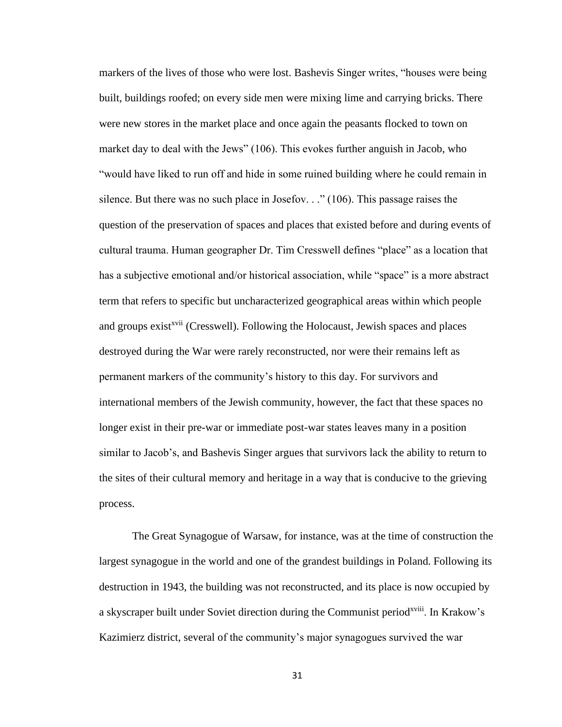markers of the lives of those who were lost. Bashevis Singer writes, "houses were being built, buildings roofed; on every side men were mixing lime and carrying bricks. There were new stores in the market place and once again the peasants flocked to town on market day to deal with the Jews" (106). This evokes further anguish in Jacob, who "would have liked to run off and hide in some ruined building where he could remain in silence. But there was no such place in Josefov.  $\cdot$  (106). This passage raises the question of the preservation of spaces and places that existed before and during events of cultural trauma. Human geographer Dr. Tim Cresswell defines "place" as a location that has a subjective emotional and/or historical association, while "space" is a more abstract term that refers to specific but uncharacterized geographical areas within which people and groups exist<sup>xvii</sup> (Cresswell). Following the Holocaust, Jewish spaces and places destroyed during the War were rarely reconstructed, nor were their remains left as permanent markers of the community's history to this day. For survivors and international members of the Jewish community, however, the fact that these spaces no longer exist in their pre-war or immediate post-war states leaves many in a position similar to Jacob's, and Bashevis Singer argues that survivors lack the ability to return to the sites of their cultural memory and heritage in a way that is conducive to the grieving process.

The Great Synagogue of Warsaw, for instance, was at the time of construction the largest synagogue in the world and one of the grandest buildings in Poland. Following its destruction in 1943, the building was not reconstructed, and its place is now occupied by a skyscraper built under Soviet direction during the Communist period<sup>xviii</sup>. In Krakow's Kazimierz district, several of the community's major synagogues survived the war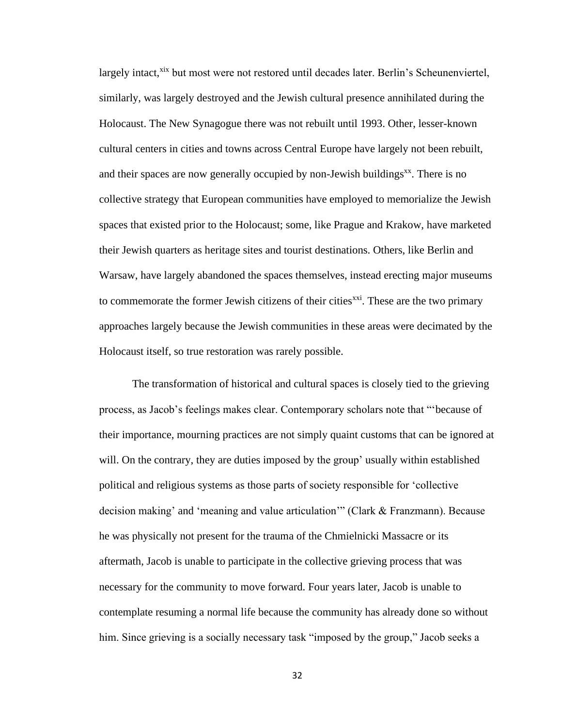largely intact,<sup>xix</sup> but most were not restored until decades later. Berlin's Scheunenviertel, similarly, was largely destroyed and the Jewish cultural presence annihilated during the Holocaust. The New Synagogue there was not rebuilt until 1993. Other, lesser-known cultural centers in cities and towns across Central Europe have largely not been rebuilt, and their spaces are now generally occupied by non-Jewish buildings<sup>xx</sup>. There is no collective strategy that European communities have employed to memorialize the Jewish spaces that existed prior to the Holocaust; some, like Prague and Krakow, have marketed their Jewish quarters as heritage sites and tourist destinations. Others, like Berlin and Warsaw, have largely abandoned the spaces themselves, instead erecting major museums to commemorate the former Jewish citizens of their cities  $\chi$ <sup>xxi</sup>. These are the two primary approaches largely because the Jewish communities in these areas were decimated by the Holocaust itself, so true restoration was rarely possible.

The transformation of historical and cultural spaces is closely tied to the grieving process, as Jacob's feelings makes clear. Contemporary scholars note that "'because of their importance, mourning practices are not simply quaint customs that can be ignored at will. On the contrary, they are duties imposed by the group' usually within established political and religious systems as those parts of society responsible for 'collective decision making' and 'meaning and value articulation'" (Clark & Franzmann). Because he was physically not present for the trauma of the Chmielnicki Massacre or its aftermath, Jacob is unable to participate in the collective grieving process that was necessary for the community to move forward. Four years later, Jacob is unable to contemplate resuming a normal life because the community has already done so without him. Since grieving is a socially necessary task "imposed by the group," Jacob seeks a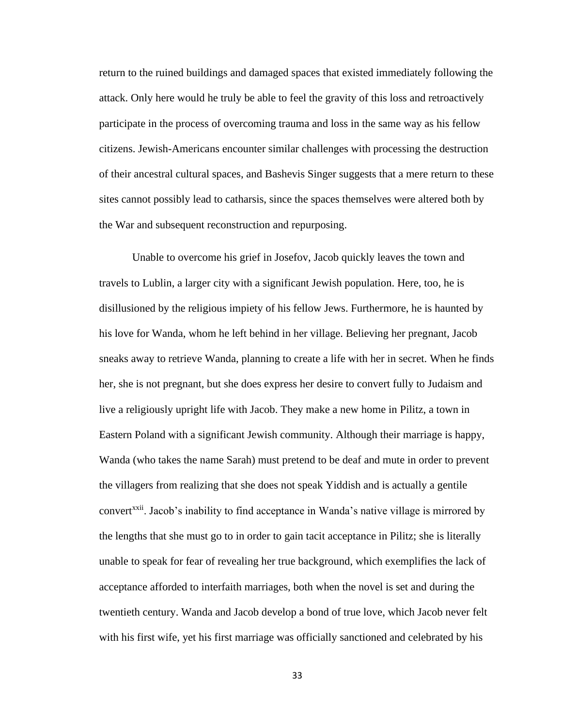return to the ruined buildings and damaged spaces that existed immediately following the attack. Only here would he truly be able to feel the gravity of this loss and retroactively participate in the process of overcoming trauma and loss in the same way as his fellow citizens. Jewish-Americans encounter similar challenges with processing the destruction of their ancestral cultural spaces, and Bashevis Singer suggests that a mere return to these sites cannot possibly lead to catharsis, since the spaces themselves were altered both by the War and subsequent reconstruction and repurposing.

Unable to overcome his grief in Josefov, Jacob quickly leaves the town and travels to Lublin, a larger city with a significant Jewish population. Here, too, he is disillusioned by the religious impiety of his fellow Jews. Furthermore, he is haunted by his love for Wanda, whom he left behind in her village. Believing her pregnant, Jacob sneaks away to retrieve Wanda, planning to create a life with her in secret. When he finds her, she is not pregnant, but she does express her desire to convert fully to Judaism and live a religiously upright life with Jacob. They make a new home in Pilitz, a town in Eastern Poland with a significant Jewish community. Although their marriage is happy, Wanda (who takes the name Sarah) must pretend to be deaf and mute in order to prevent the villagers from realizing that she does not speak Yiddish and is actually a gentile convert<sup>xxii</sup>. Jacob's inability to find acceptance in Wanda's native village is mirrored by the lengths that she must go to in order to gain tacit acceptance in Pilitz; she is literally unable to speak for fear of revealing her true background, which exemplifies the lack of acceptance afforded to interfaith marriages, both when the novel is set and during the twentieth century. Wanda and Jacob develop a bond of true love, which Jacob never felt with his first wife, yet his first marriage was officially sanctioned and celebrated by his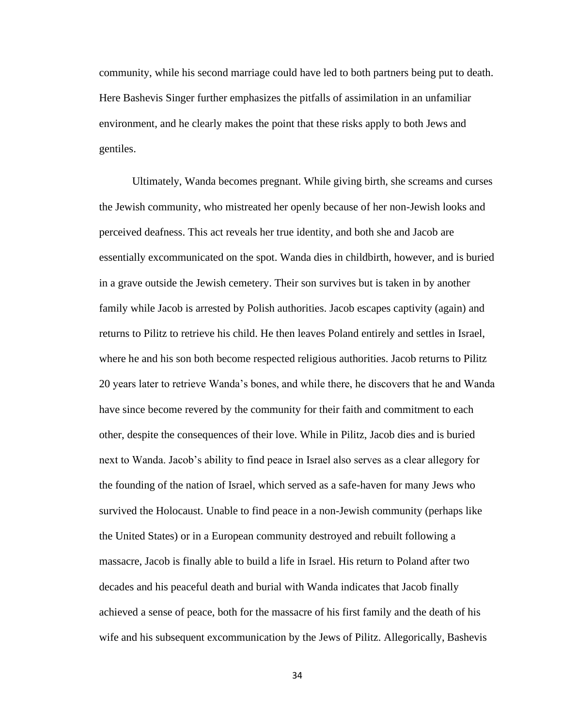community, while his second marriage could have led to both partners being put to death. Here Bashevis Singer further emphasizes the pitfalls of assimilation in an unfamiliar environment, and he clearly makes the point that these risks apply to both Jews and gentiles.

Ultimately, Wanda becomes pregnant. While giving birth, she screams and curses the Jewish community, who mistreated her openly because of her non-Jewish looks and perceived deafness. This act reveals her true identity, and both she and Jacob are essentially excommunicated on the spot. Wanda dies in childbirth, however, and is buried in a grave outside the Jewish cemetery. Their son survives but is taken in by another family while Jacob is arrested by Polish authorities. Jacob escapes captivity (again) and returns to Pilitz to retrieve his child. He then leaves Poland entirely and settles in Israel, where he and his son both become respected religious authorities. Jacob returns to Pilitz 20 years later to retrieve Wanda's bones, and while there, he discovers that he and Wanda have since become revered by the community for their faith and commitment to each other, despite the consequences of their love. While in Pilitz, Jacob dies and is buried next to Wanda. Jacob's ability to find peace in Israel also serves as a clear allegory for the founding of the nation of Israel, which served as a safe-haven for many Jews who survived the Holocaust. Unable to find peace in a non-Jewish community (perhaps like the United States) or in a European community destroyed and rebuilt following a massacre, Jacob is finally able to build a life in Israel. His return to Poland after two decades and his peaceful death and burial with Wanda indicates that Jacob finally achieved a sense of peace, both for the massacre of his first family and the death of his wife and his subsequent excommunication by the Jews of Pilitz. Allegorically, Bashevis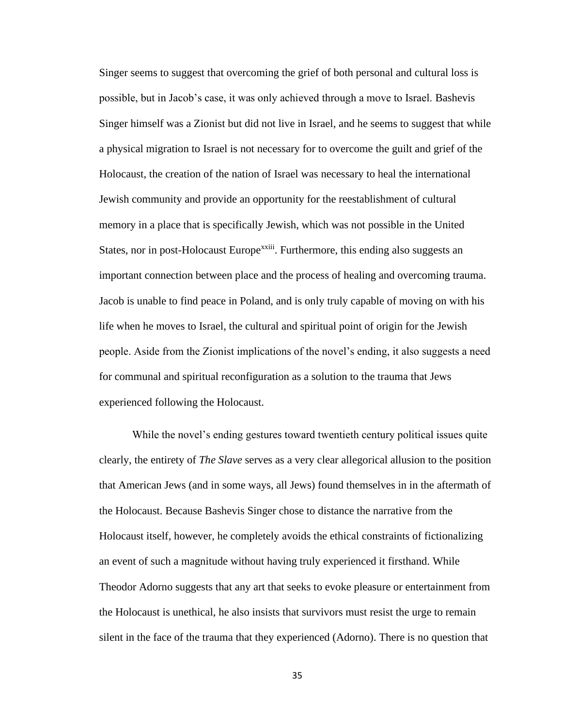Singer seems to suggest that overcoming the grief of both personal and cultural loss is possible, but in Jacob's case, it was only achieved through a move to Israel. Bashevis Singer himself was a Zionist but did not live in Israel, and he seems to suggest that while a physical migration to Israel is not necessary for to overcome the guilt and grief of the Holocaust, the creation of the nation of Israel was necessary to heal the international Jewish community and provide an opportunity for the reestablishment of cultural memory in a place that is specifically Jewish, which was not possible in the United States, nor in post-Holocaust Europe<sup>xxiii</sup>. Furthermore, this ending also suggests an important connection between place and the process of healing and overcoming trauma. Jacob is unable to find peace in Poland, and is only truly capable of moving on with his life when he moves to Israel, the cultural and spiritual point of origin for the Jewish people. Aside from the Zionist implications of the novel's ending, it also suggests a need for communal and spiritual reconfiguration as a solution to the trauma that Jews experienced following the Holocaust.

While the novel's ending gestures toward twentieth century political issues quite clearly, the entirety of *The Slave* serves as a very clear allegorical allusion to the position that American Jews (and in some ways, all Jews) found themselves in in the aftermath of the Holocaust. Because Bashevis Singer chose to distance the narrative from the Holocaust itself, however, he completely avoids the ethical constraints of fictionalizing an event of such a magnitude without having truly experienced it firsthand. While Theodor Adorno suggests that any art that seeks to evoke pleasure or entertainment from the Holocaust is unethical, he also insists that survivors must resist the urge to remain silent in the face of the trauma that they experienced (Adorno). There is no question that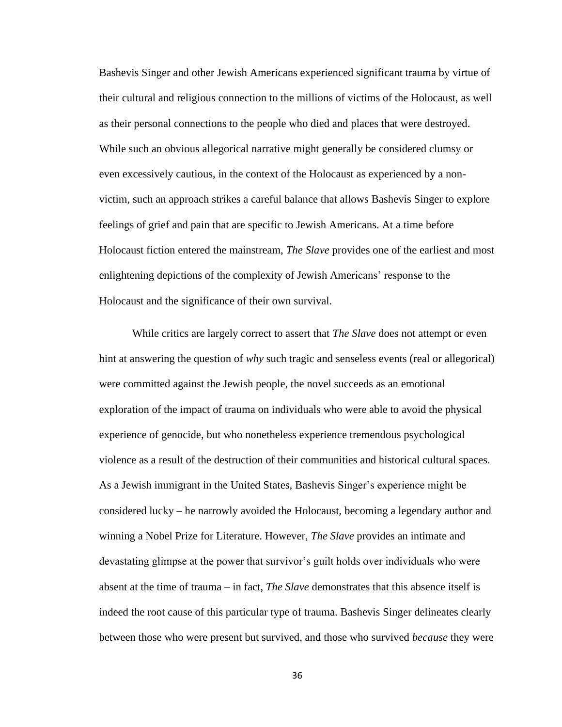Bashevis Singer and other Jewish Americans experienced significant trauma by virtue of their cultural and religious connection to the millions of victims of the Holocaust, as well as their personal connections to the people who died and places that were destroyed. While such an obvious allegorical narrative might generally be considered clumsy or even excessively cautious, in the context of the Holocaust as experienced by a nonvictim, such an approach strikes a careful balance that allows Bashevis Singer to explore feelings of grief and pain that are specific to Jewish Americans. At a time before Holocaust fiction entered the mainstream, *The Slave* provides one of the earliest and most enlightening depictions of the complexity of Jewish Americans' response to the Holocaust and the significance of their own survival.

While critics are largely correct to assert that *The Slave* does not attempt or even hint at answering the question of *why* such tragic and senseless events (real or allegorical) were committed against the Jewish people, the novel succeeds as an emotional exploration of the impact of trauma on individuals who were able to avoid the physical experience of genocide, but who nonetheless experience tremendous psychological violence as a result of the destruction of their communities and historical cultural spaces. As a Jewish immigrant in the United States, Bashevis Singer's experience might be considered lucky – he narrowly avoided the Holocaust, becoming a legendary author and winning a Nobel Prize for Literature. However, *The Slave* provides an intimate and devastating glimpse at the power that survivor's guilt holds over individuals who were absent at the time of trauma – in fact, *The Slave* demonstrates that this absence itself is indeed the root cause of this particular type of trauma. Bashevis Singer delineates clearly between those who were present but survived, and those who survived *because* they were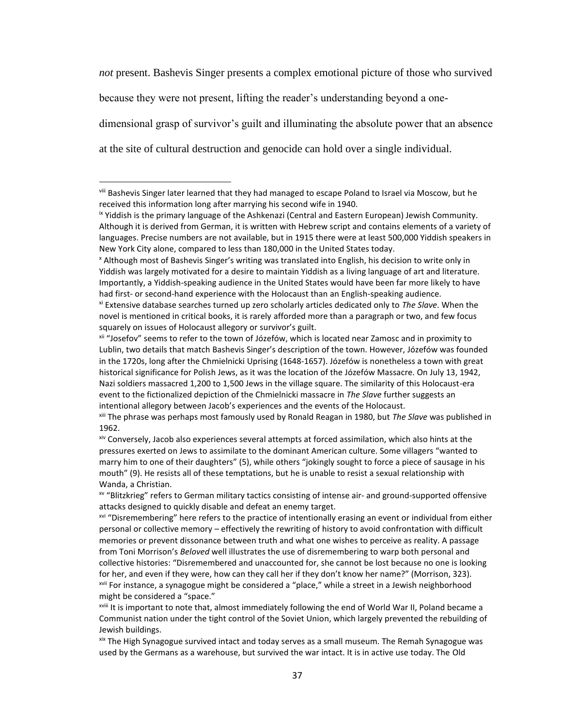*not* present. Bashevis Singer presents a complex emotional picture of those who survived because they were not present, lifting the reader's understanding beyond a onedimensional grasp of survivor's guilt and illuminating the absolute power that an absence at the site of cultural destruction and genocide can hold over a single individual.

viii Bashevis Singer later learned that they had managed to escape Poland to Israel via Moscow, but he received this information long after marrying his second wife in 1940.

ix Yiddish is the primary language of the Ashkenazi (Central and Eastern European) Jewish Community. Although it is derived from German, it is written with Hebrew script and contains elements of a variety of languages. Precise numbers are not available, but in 1915 there were at least 500,000 Yiddish speakers in New York City alone, compared to less than 180,000 in the United States today.

<sup>x</sup> Although most of Bashevis Singer's writing was translated into English, his decision to write only in Yiddish was largely motivated for a desire to maintain Yiddish as a living language of art and literature. Importantly, a Yiddish-speaking audience in the United States would have been far more likely to have had first- or second-hand experience with the Holocaust than an English-speaking audience.

xi Extensive database searches turned up zero scholarly articles dedicated only to *The Slave*. When the novel is mentioned in critical books, it is rarely afforded more than a paragraph or two, and few focus squarely on issues of Holocaust allegory or survivor's guilt.

xii "Josefov" seems to refer to the town of Józefów, which is located near Zamosc and in proximity to Lublin, two details that match Bashevis Singer's description of the town. However, Józefów was founded in the 1720s, long after the Chmielnicki Uprising (1648-1657). Józefów is nonetheless a town with great historical significance for Polish Jews, as it was the location of the Józefów Massacre. On July 13, 1942, Nazi soldiers massacred 1,200 to 1,500 Jews in the village square. The similarity of this Holocaust-era event to the fictionalized depiction of the Chmielnicki massacre in *The Slave* further suggests an intentional allegory between Jacob's experiences and the events of the Holocaust.

xiii The phrase was perhaps most famously used by Ronald Reagan in 1980, but *The Slave* was published in 1962.

xiv Conversely, Jacob also experiences several attempts at forced assimilation, which also hints at the pressures exerted on Jews to assimilate to the dominant American culture. Some villagers "wanted to marry him to one of their daughters" (5), while others "jokingly sought to force a piece of sausage in his mouth" (9). He resists all of these temptations, but he is unable to resist a sexual relationship with Wanda, a Christian.

xv "Blitzkrieg" refers to German military tactics consisting of intense air- and ground-supported offensive attacks designed to quickly disable and defeat an enemy target.

<sup>&</sup>lt;sup>xvi</sup> "Disremembering" here refers to the practice of intentionally erasing an event or individual from either personal or collective memory – effectively the rewriting of history to avoid confrontation with difficult memories or prevent dissonance between truth and what one wishes to perceive as reality. A passage from Toni Morrison's *Beloved* well illustrates the use of disremembering to warp both personal and collective histories: "Disremembered and unaccounted for, she cannot be lost because no one is looking for her, and even if they were, how can they call her if they don't know her name?" (Morrison, 323). <sup>xvii</sup> For instance, a synagogue might be considered a "place," while a street in a Jewish neighborhood might be considered a "space."

xviii It is important to note that, almost immediately following the end of World War II, Poland became a Communist nation under the tight control of the Soviet Union, which largely prevented the rebuilding of Jewish buildings.

xix The High Synagogue survived intact and today serves as a small museum. The Remah Synagogue was used by the Germans as a warehouse, but survived the war intact. It is in active use today. The Old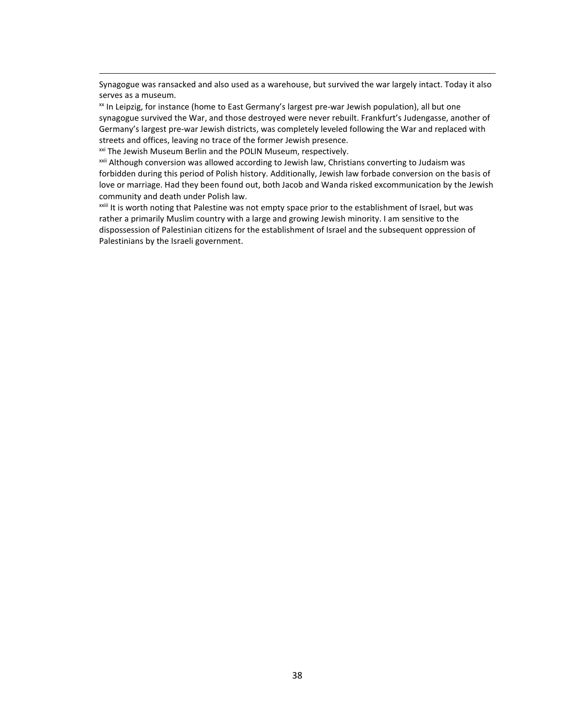Synagogue was ransacked and also used as a warehouse, but survived the war largely intact. Today it also serves as a museum.

<sup>xx</sup> In Leipzig, for instance (home to East Germany's largest pre-war Jewish population), all but one synagogue survived the War, and those destroyed were never rebuilt. Frankfurt's Judengasse, another of Germany's largest pre-war Jewish districts, was completely leveled following the War and replaced with streets and offices, leaving no trace of the former Jewish presence.

<sup>xxi</sup> The Jewish Museum Berlin and the POLIN Museum, respectively.

<sup>xxii</sup> Although conversion was allowed according to Jewish law, Christians converting to Judaism was forbidden during this period of Polish history. Additionally, Jewish law forbade conversion on the basis of love or marriage. Had they been found out, both Jacob and Wanda risked excommunication by the Jewish community and death under Polish law.

xxiii It is worth noting that Palestine was not empty space prior to the establishment of Israel, but was rather a primarily Muslim country with a large and growing Jewish minority. I am sensitive to the dispossession of Palestinian citizens for the establishment of Israel and the subsequent oppression of Palestinians by the Israeli government.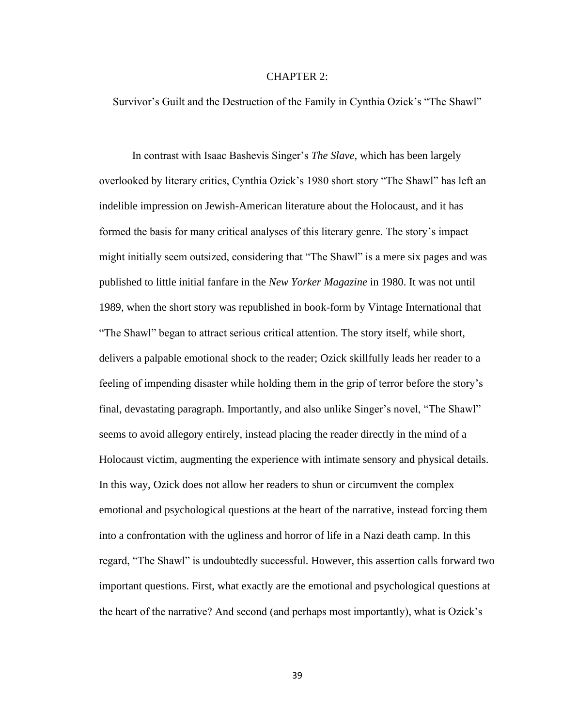#### CHAPTER 2:

<span id="page-44-0"></span>Survivor's Guilt and the Destruction of the Family in Cynthia Ozick's "The Shawl"

In contrast with Isaac Bashevis Singer's *The Slave*, which has been largely overlooked by literary critics, Cynthia Ozick's 1980 short story "The Shawl" has left an indelible impression on Jewish-American literature about the Holocaust, and it has formed the basis for many critical analyses of this literary genre. The story's impact might initially seem outsized, considering that "The Shawl" is a mere six pages and was published to little initial fanfare in the *New Yorker Magazine* in 1980. It was not until 1989, when the short story was republished in book-form by Vintage International that "The Shawl" began to attract serious critical attention. The story itself, while short, delivers a palpable emotional shock to the reader; Ozick skillfully leads her reader to a feeling of impending disaster while holding them in the grip of terror before the story's final, devastating paragraph. Importantly, and also unlike Singer's novel, "The Shawl" seems to avoid allegory entirely, instead placing the reader directly in the mind of a Holocaust victim, augmenting the experience with intimate sensory and physical details. In this way, Ozick does not allow her readers to shun or circumvent the complex emotional and psychological questions at the heart of the narrative, instead forcing them into a confrontation with the ugliness and horror of life in a Nazi death camp. In this regard, "The Shawl" is undoubtedly successful. However, this assertion calls forward two important questions. First, what exactly are the emotional and psychological questions at the heart of the narrative? And second (and perhaps most importantly), what is Ozick's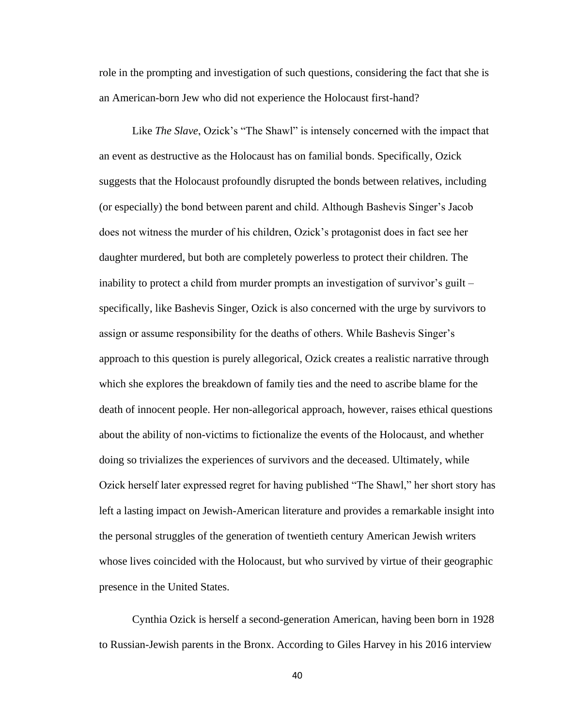role in the prompting and investigation of such questions, considering the fact that she is an American-born Jew who did not experience the Holocaust first-hand?

Like *The Slave*, Ozick's "The Shawl" is intensely concerned with the impact that an event as destructive as the Holocaust has on familial bonds. Specifically, Ozick suggests that the Holocaust profoundly disrupted the bonds between relatives, including (or especially) the bond between parent and child. Although Bashevis Singer's Jacob does not witness the murder of his children, Ozick's protagonist does in fact see her daughter murdered, but both are completely powerless to protect their children. The inability to protect a child from murder prompts an investigation of survivor's guilt – specifically, like Bashevis Singer, Ozick is also concerned with the urge by survivors to assign or assume responsibility for the deaths of others. While Bashevis Singer's approach to this question is purely allegorical, Ozick creates a realistic narrative through which she explores the breakdown of family ties and the need to ascribe blame for the death of innocent people. Her non-allegorical approach, however, raises ethical questions about the ability of non-victims to fictionalize the events of the Holocaust, and whether doing so trivializes the experiences of survivors and the deceased. Ultimately, while Ozick herself later expressed regret for having published "The Shawl," her short story has left a lasting impact on Jewish-American literature and provides a remarkable insight into the personal struggles of the generation of twentieth century American Jewish writers whose lives coincided with the Holocaust, but who survived by virtue of their geographic presence in the United States.

Cynthia Ozick is herself a second-generation American, having been born in 1928 to Russian-Jewish parents in the Bronx. According to Giles Harvey in his 2016 interview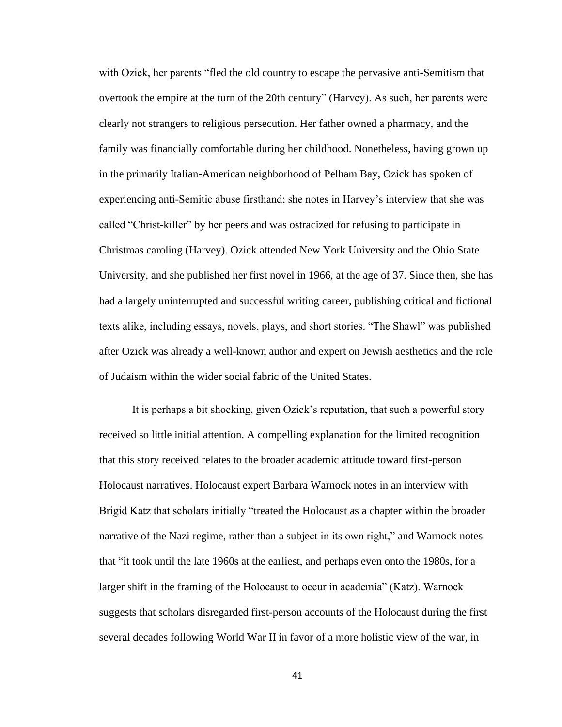with Ozick, her parents "fled the old country to escape the pervasive anti-Semitism that overtook the empire at the turn of the 20th century" (Harvey). As such, her parents were clearly not strangers to religious persecution. Her father owned a pharmacy, and the family was financially comfortable during her childhood. Nonetheless, having grown up in the primarily Italian-American neighborhood of Pelham Bay, Ozick has spoken of experiencing anti-Semitic abuse firsthand; she notes in Harvey's interview that she was called "Christ-killer" by her peers and was ostracized for refusing to participate in Christmas caroling (Harvey). Ozick attended New York University and the Ohio State University, and she published her first novel in 1966, at the age of 37. Since then, she has had a largely uninterrupted and successful writing career, publishing critical and fictional texts alike, including essays, novels, plays, and short stories. "The Shawl" was published after Ozick was already a well-known author and expert on Jewish aesthetics and the role of Judaism within the wider social fabric of the United States.

It is perhaps a bit shocking, given Ozick's reputation, that such a powerful story received so little initial attention. A compelling explanation for the limited recognition that this story received relates to the broader academic attitude toward first-person Holocaust narratives. Holocaust expert Barbara Warnock notes in an interview with Brigid Katz that scholars initially "treated the Holocaust as a chapter within the broader narrative of the Nazi regime, rather than a subject in its own right," and Warnock notes that "it took until the late 1960s at the earliest, and perhaps even onto the 1980s, for a larger shift in the framing of the Holocaust to occur in academia" (Katz). Warnock suggests that scholars disregarded first-person accounts of the Holocaust during the first several decades following World War II in favor of a more holistic view of the war, in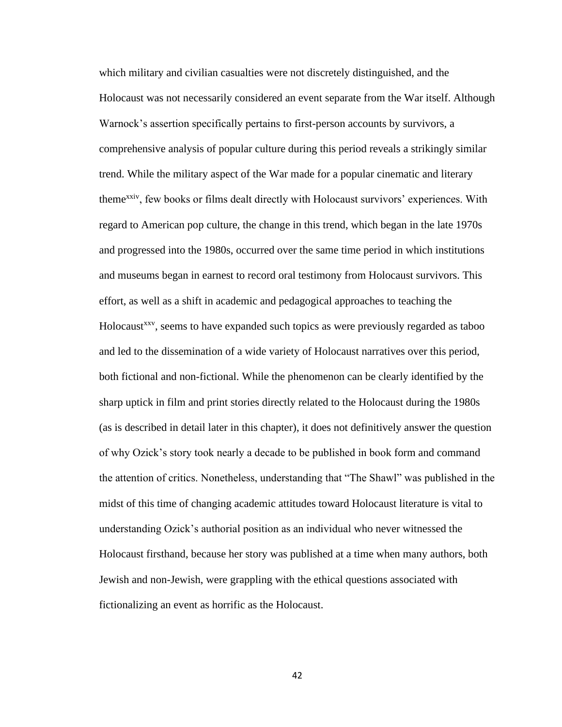which military and civilian casualties were not discretely distinguished, and the Holocaust was not necessarily considered an event separate from the War itself. Although Warnock's assertion specifically pertains to first-person accounts by survivors, a comprehensive analysis of popular culture during this period reveals a strikingly similar trend. While the military aspect of the War made for a popular cinematic and literary themexxiv, few books or films dealt directly with Holocaust survivors' experiences. With regard to American pop culture, the change in this trend, which began in the late 1970s and progressed into the 1980s, occurred over the same time period in which institutions and museums began in earnest to record oral testimony from Holocaust survivors. This effort, as well as a shift in academic and pedagogical approaches to teaching the Holocaust<sup>xxv</sup>, seems to have expanded such topics as were previously regarded as taboo and led to the dissemination of a wide variety of Holocaust narratives over this period, both fictional and non-fictional. While the phenomenon can be clearly identified by the sharp uptick in film and print stories directly related to the Holocaust during the 1980s (as is described in detail later in this chapter), it does not definitively answer the question of why Ozick's story took nearly a decade to be published in book form and command the attention of critics. Nonetheless, understanding that "The Shawl" was published in the midst of this time of changing academic attitudes toward Holocaust literature is vital to understanding Ozick's authorial position as an individual who never witnessed the Holocaust firsthand, because her story was published at a time when many authors, both Jewish and non-Jewish, were grappling with the ethical questions associated with fictionalizing an event as horrific as the Holocaust.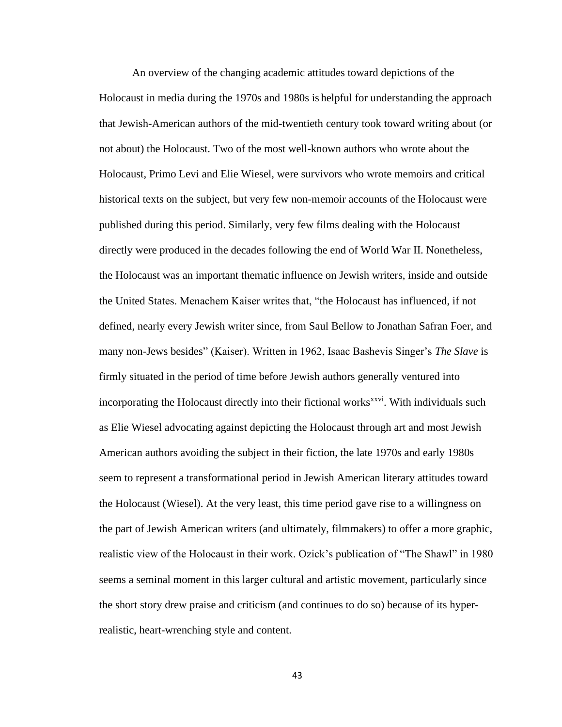An overview of the changing academic attitudes toward depictions of the Holocaust in media during the 1970s and 1980s is helpful for understanding the approach that Jewish-American authors of the mid-twentieth century took toward writing about (or not about) the Holocaust. Two of the most well-known authors who wrote about the Holocaust, Primo Levi and Elie Wiesel, were survivors who wrote memoirs and critical historical texts on the subject, but very few non-memoir accounts of the Holocaust were published during this period. Similarly, very few films dealing with the Holocaust directly were produced in the decades following the end of World War II. Nonetheless, the Holocaust was an important thematic influence on Jewish writers, inside and outside the United States. Menachem Kaiser writes that, "the Holocaust has influenced, if not defined, nearly every Jewish writer since, from Saul Bellow to Jonathan Safran Foer, and many non-Jews besides" (Kaiser). Written in 1962, Isaac Bashevis Singer's *The Slave* is firmly situated in the period of time before Jewish authors generally ventured into incorporating the Holocaust directly into their fictional works<sup>xxvi</sup>. With individuals such as Elie Wiesel advocating against depicting the Holocaust through art and most Jewish American authors avoiding the subject in their fiction, the late 1970s and early 1980s seem to represent a transformational period in Jewish American literary attitudes toward the Holocaust (Wiesel). At the very least, this time period gave rise to a willingness on the part of Jewish American writers (and ultimately, filmmakers) to offer a more graphic, realistic view of the Holocaust in their work. Ozick's publication of "The Shawl" in 1980 seems a seminal moment in this larger cultural and artistic movement, particularly since the short story drew praise and criticism (and continues to do so) because of its hyperrealistic, heart-wrenching style and content.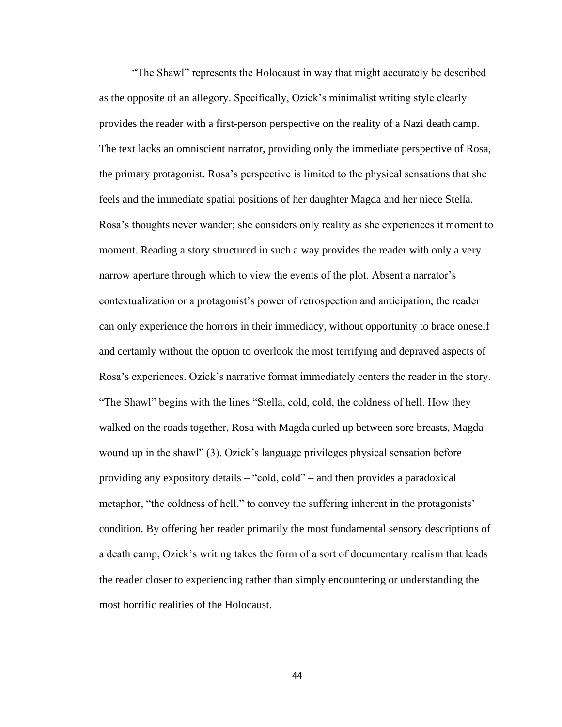"The Shawl" represents the Holocaust in way that might accurately be described as the opposite of an allegory. Specifically, Ozick's minimalist writing style clearly provides the reader with a first-person perspective on the reality of a Nazi death camp. The text lacks an omniscient narrator, providing only the immediate perspective of Rosa, the primary protagonist. Rosa's perspective is limited to the physical sensations that she feels and the immediate spatial positions of her daughter Magda and her niece Stella. Rosa's thoughts never wander; she considers only reality as she experiences it moment to moment. Reading a story structured in such a way provides the reader with only a very narrow aperture through which to view the events of the plot. Absent a narrator's contextualization or a protagonist's power of retrospection and anticipation, the reader can only experience the horrors in their immediacy, without opportunity to brace oneself and certainly without the option to overlook the most terrifying and depraved aspects of Rosa's experiences. Ozick's narrative format immediately centers the reader in the story. "The Shawl" begins with the lines "Stella, cold, cold, the coldness of hell. How they walked on the roads together, Rosa with Magda curled up between sore breasts, Magda wound up in the shawl" (3). Ozick's language privileges physical sensation before providing any expository details – "cold, cold" – and then provides a paradoxical metaphor, "the coldness of hell," to convey the suffering inherent in the protagonists' condition. By offering her reader primarily the most fundamental sensory descriptions of a death camp, Ozick's writing takes the form of a sort of documentary realism that leads the reader closer to experiencing rather than simply encountering or understanding the most horrific realities of the Holocaust.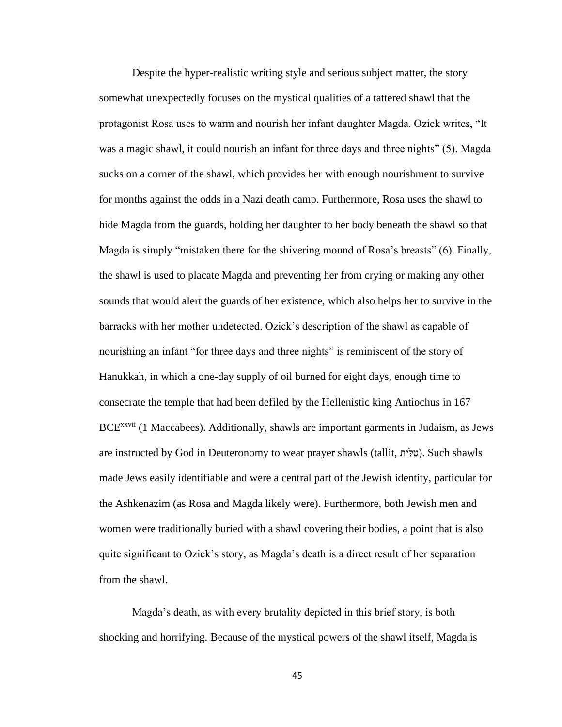Despite the hyper-realistic writing style and serious subject matter, the story somewhat unexpectedly focuses on the mystical qualities of a tattered shawl that the protagonist Rosa uses to warm and nourish her infant daughter Magda. Ozick writes, "It was a magic shawl, it could nourish an infant for three days and three nights" (5). Magda sucks on a corner of the shawl, which provides her with enough nourishment to survive for months against the odds in a Nazi death camp. Furthermore, Rosa uses the shawl to hide Magda from the guards, holding her daughter to her body beneath the shawl so that Magda is simply "mistaken there for the shivering mound of Rosa's breasts" (6). Finally, the shawl is used to placate Magda and preventing her from crying or making any other sounds that would alert the guards of her existence, which also helps her to survive in the barracks with her mother undetected. Ozick's description of the shawl as capable of nourishing an infant "for three days and three nights" is reminiscent of the story of Hanukkah, in which a one-day supply of oil burned for eight days, enough time to consecrate the temple that had been defiled by the Hellenistic king Antiochus in 167 BCE<sup>xxvii</sup> (1 Maccabees). Additionally, shawls are important garments in Judaism, as Jews are instructed by God in Deuteronomy to wear prayer shawls (tallit, יתִּל ַט(. Such shawls made Jews easily identifiable and were a central part of the Jewish identity, particular for the Ashkenazim (as Rosa and Magda likely were). Furthermore, both Jewish men and women were traditionally buried with a shawl covering their bodies, a point that is also quite significant to Ozick's story, as Magda's death is a direct result of her separation from the shawl.

Magda's death, as with every brutality depicted in this brief story, is both shocking and horrifying. Because of the mystical powers of the shawl itself, Magda is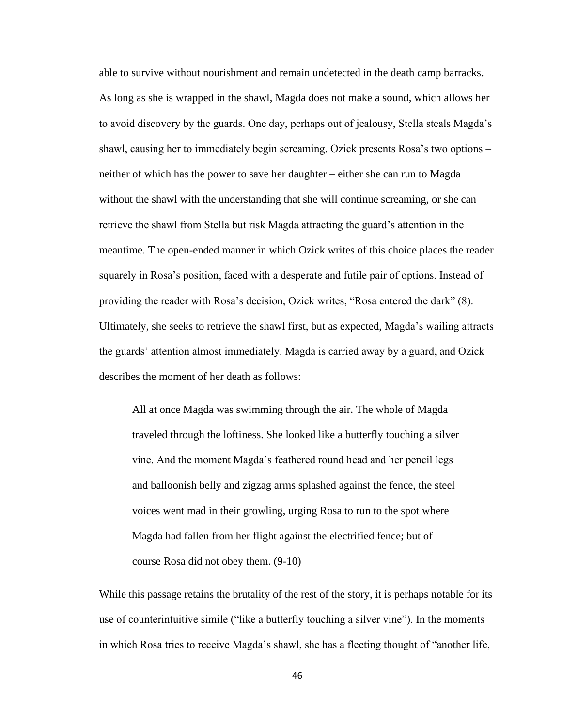able to survive without nourishment and remain undetected in the death camp barracks. As long as she is wrapped in the shawl, Magda does not make a sound, which allows her to avoid discovery by the guards. One day, perhaps out of jealousy, Stella steals Magda's shawl, causing her to immediately begin screaming. Ozick presents Rosa's two options – neither of which has the power to save her daughter – either she can run to Magda without the shawl with the understanding that she will continue screaming, or she can retrieve the shawl from Stella but risk Magda attracting the guard's attention in the meantime. The open-ended manner in which Ozick writes of this choice places the reader squarely in Rosa's position, faced with a desperate and futile pair of options. Instead of providing the reader with Rosa's decision, Ozick writes, "Rosa entered the dark" (8). Ultimately, she seeks to retrieve the shawl first, but as expected, Magda's wailing attracts the guards' attention almost immediately. Magda is carried away by a guard, and Ozick describes the moment of her death as follows:

All at once Magda was swimming through the air. The whole of Magda traveled through the loftiness. She looked like a butterfly touching a silver vine. And the moment Magda's feathered round head and her pencil legs and balloonish belly and zigzag arms splashed against the fence, the steel voices went mad in their growling, urging Rosa to run to the spot where Magda had fallen from her flight against the electrified fence; but of course Rosa did not obey them. (9-10)

While this passage retains the brutality of the rest of the story, it is perhaps notable for its use of counterintuitive simile ("like a butterfly touching a silver vine"). In the moments in which Rosa tries to receive Magda's shawl, she has a fleeting thought of "another life,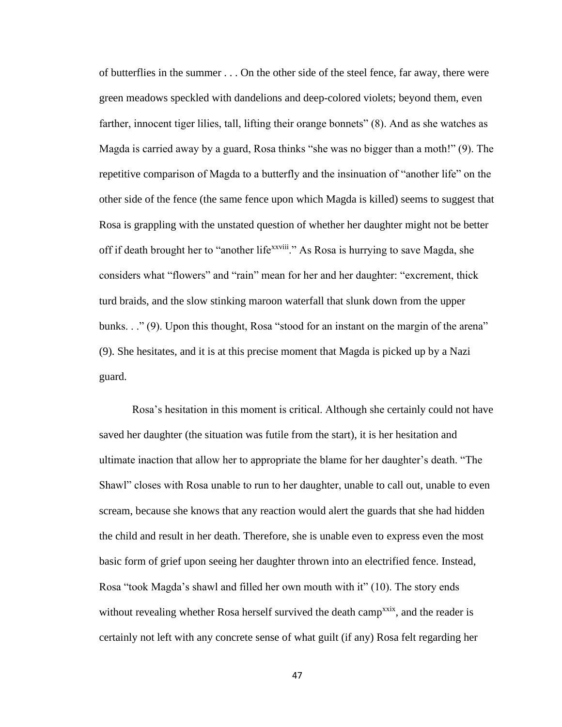of butterflies in the summer . . . On the other side of the steel fence, far away, there were green meadows speckled with dandelions and deep-colored violets; beyond them, even farther, innocent tiger lilies, tall, lifting their orange bonnets" (8). And as she watches as Magda is carried away by a guard, Rosa thinks "she was no bigger than a moth!" (9). The repetitive comparison of Magda to a butterfly and the insinuation of "another life" on the other side of the fence (the same fence upon which Magda is killed) seems to suggest that Rosa is grappling with the unstated question of whether her daughter might not be better off if death brought her to "another life<sup>xxviii</sup>." As Rosa is hurrying to save Magda, she considers what "flowers" and "rain" mean for her and her daughter: "excrement, thick turd braids, and the slow stinking maroon waterfall that slunk down from the upper bunks. . ." (9). Upon this thought, Rosa "stood for an instant on the margin of the arena" (9). She hesitates, and it is at this precise moment that Magda is picked up by a Nazi guard.

Rosa's hesitation in this moment is critical. Although she certainly could not have saved her daughter (the situation was futile from the start), it is her hesitation and ultimate inaction that allow her to appropriate the blame for her daughter's death. "The Shawl" closes with Rosa unable to run to her daughter, unable to call out, unable to even scream, because she knows that any reaction would alert the guards that she had hidden the child and result in her death. Therefore, she is unable even to express even the most basic form of grief upon seeing her daughter thrown into an electrified fence. Instead, Rosa "took Magda's shawl and filled her own mouth with it" (10). The story ends without revealing whether Rosa herself survived the death camp<sup>xxix</sup>, and the reader is certainly not left with any concrete sense of what guilt (if any) Rosa felt regarding her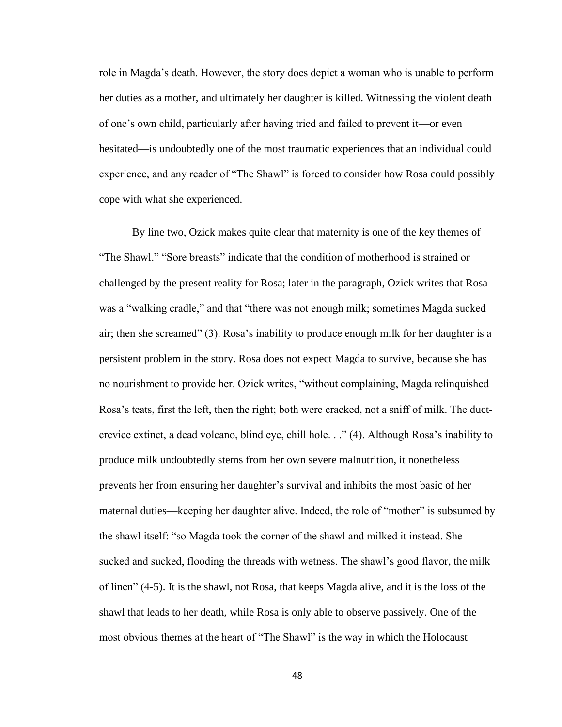role in Magda's death. However, the story does depict a woman who is unable to perform her duties as a mother, and ultimately her daughter is killed. Witnessing the violent death of one's own child, particularly after having tried and failed to prevent it—or even hesitated—is undoubtedly one of the most traumatic experiences that an individual could experience, and any reader of "The Shawl" is forced to consider how Rosa could possibly cope with what she experienced.

By line two, Ozick makes quite clear that maternity is one of the key themes of "The Shawl." "Sore breasts" indicate that the condition of motherhood is strained or challenged by the present reality for Rosa; later in the paragraph, Ozick writes that Rosa was a "walking cradle," and that "there was not enough milk; sometimes Magda sucked air; then she screamed" (3). Rosa's inability to produce enough milk for her daughter is a persistent problem in the story. Rosa does not expect Magda to survive, because she has no nourishment to provide her. Ozick writes, "without complaining, Magda relinquished Rosa's teats, first the left, then the right; both were cracked, not a sniff of milk. The ductcrevice extinct, a dead volcano, blind eye, chill hole. . ." (4). Although Rosa's inability to produce milk undoubtedly stems from her own severe malnutrition, it nonetheless prevents her from ensuring her daughter's survival and inhibits the most basic of her maternal duties—keeping her daughter alive. Indeed, the role of "mother" is subsumed by the shawl itself: "so Magda took the corner of the shawl and milked it instead. She sucked and sucked, flooding the threads with wetness. The shawl's good flavor, the milk of linen" (4-5). It is the shawl, not Rosa, that keeps Magda alive, and it is the loss of the shawl that leads to her death, while Rosa is only able to observe passively. One of the most obvious themes at the heart of "The Shawl" is the way in which the Holocaust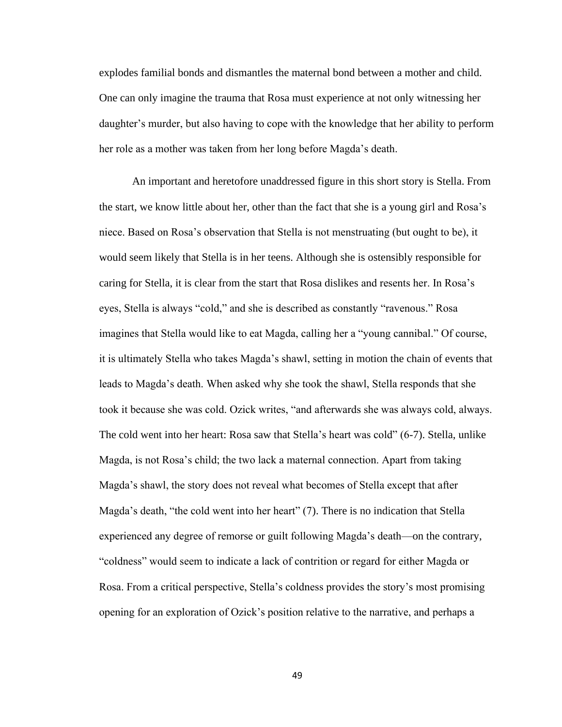explodes familial bonds and dismantles the maternal bond between a mother and child. One can only imagine the trauma that Rosa must experience at not only witnessing her daughter's murder, but also having to cope with the knowledge that her ability to perform her role as a mother was taken from her long before Magda's death.

An important and heretofore unaddressed figure in this short story is Stella. From the start, we know little about her, other than the fact that she is a young girl and Rosa's niece. Based on Rosa's observation that Stella is not menstruating (but ought to be), it would seem likely that Stella is in her teens. Although she is ostensibly responsible for caring for Stella, it is clear from the start that Rosa dislikes and resents her. In Rosa's eyes, Stella is always "cold," and she is described as constantly "ravenous." Rosa imagines that Stella would like to eat Magda, calling her a "young cannibal." Of course, it is ultimately Stella who takes Magda's shawl, setting in motion the chain of events that leads to Magda's death. When asked why she took the shawl, Stella responds that she took it because she was cold. Ozick writes, "and afterwards she was always cold, always. The cold went into her heart: Rosa saw that Stella's heart was cold" (6-7). Stella, unlike Magda, is not Rosa's child; the two lack a maternal connection. Apart from taking Magda's shawl, the story does not reveal what becomes of Stella except that after Magda's death, "the cold went into her heart" (7). There is no indication that Stella experienced any degree of remorse or guilt following Magda's death—on the contrary, "coldness" would seem to indicate a lack of contrition or regard for either Magda or Rosa. From a critical perspective, Stella's coldness provides the story's most promising opening for an exploration of Ozick's position relative to the narrative, and perhaps a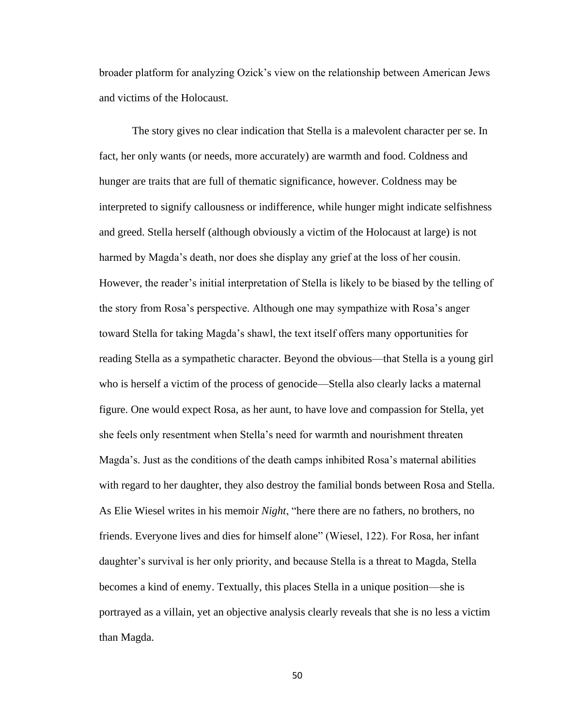broader platform for analyzing Ozick's view on the relationship between American Jews and victims of the Holocaust.

The story gives no clear indication that Stella is a malevolent character per se. In fact, her only wants (or needs, more accurately) are warmth and food. Coldness and hunger are traits that are full of thematic significance, however. Coldness may be interpreted to signify callousness or indifference, while hunger might indicate selfishness and greed. Stella herself (although obviously a victim of the Holocaust at large) is not harmed by Magda's death, nor does she display any grief at the loss of her cousin. However, the reader's initial interpretation of Stella is likely to be biased by the telling of the story from Rosa's perspective. Although one may sympathize with Rosa's anger toward Stella for taking Magda's shawl, the text itself offers many opportunities for reading Stella as a sympathetic character. Beyond the obvious—that Stella is a young girl who is herself a victim of the process of genocide—Stella also clearly lacks a maternal figure. One would expect Rosa, as her aunt, to have love and compassion for Stella, yet she feels only resentment when Stella's need for warmth and nourishment threaten Magda's. Just as the conditions of the death camps inhibited Rosa's maternal abilities with regard to her daughter, they also destroy the familial bonds between Rosa and Stella. As Elie Wiesel writes in his memoir *Night*, "here there are no fathers, no brothers, no friends. Everyone lives and dies for himself alone" (Wiesel, 122). For Rosa, her infant daughter's survival is her only priority, and because Stella is a threat to Magda, Stella becomes a kind of enemy. Textually, this places Stella in a unique position—she is portrayed as a villain, yet an objective analysis clearly reveals that she is no less a victim than Magda.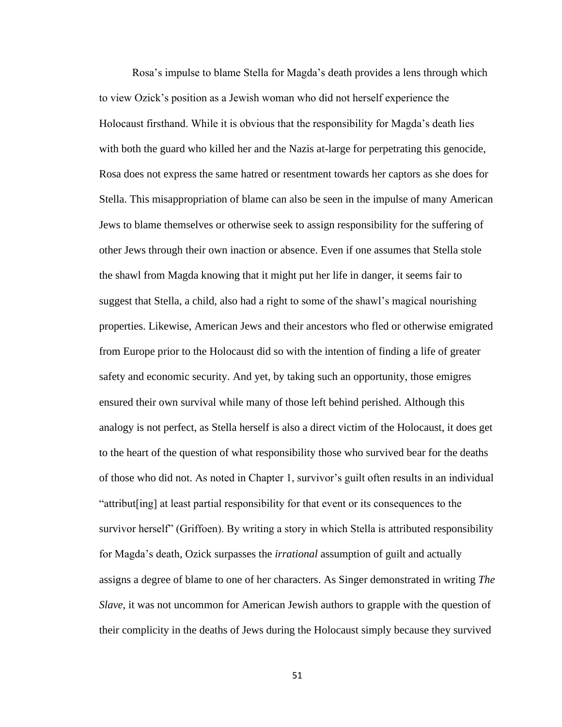Rosa's impulse to blame Stella for Magda's death provides a lens through which to view Ozick's position as a Jewish woman who did not herself experience the Holocaust firsthand. While it is obvious that the responsibility for Magda's death lies with both the guard who killed her and the Nazis at-large for perpetrating this genocide, Rosa does not express the same hatred or resentment towards her captors as she does for Stella. This misappropriation of blame can also be seen in the impulse of many American Jews to blame themselves or otherwise seek to assign responsibility for the suffering of other Jews through their own inaction or absence. Even if one assumes that Stella stole the shawl from Magda knowing that it might put her life in danger, it seems fair to suggest that Stella, a child, also had a right to some of the shawl's magical nourishing properties. Likewise, American Jews and their ancestors who fled or otherwise emigrated from Europe prior to the Holocaust did so with the intention of finding a life of greater safety and economic security. And yet, by taking such an opportunity, those emigres ensured their own survival while many of those left behind perished. Although this analogy is not perfect, as Stella herself is also a direct victim of the Holocaust, it does get to the heart of the question of what responsibility those who survived bear for the deaths of those who did not. As noted in Chapter 1, survivor's guilt often results in an individual "attribut[ing] at least partial responsibility for that event or its consequences to the survivor herself" (Griffoen). By writing a story in which Stella is attributed responsibility for Magda's death, Ozick surpasses the *irrational* assumption of guilt and actually assigns a degree of blame to one of her characters. As Singer demonstrated in writing *The Slave*, it was not uncommon for American Jewish authors to grapple with the question of their complicity in the deaths of Jews during the Holocaust simply because they survived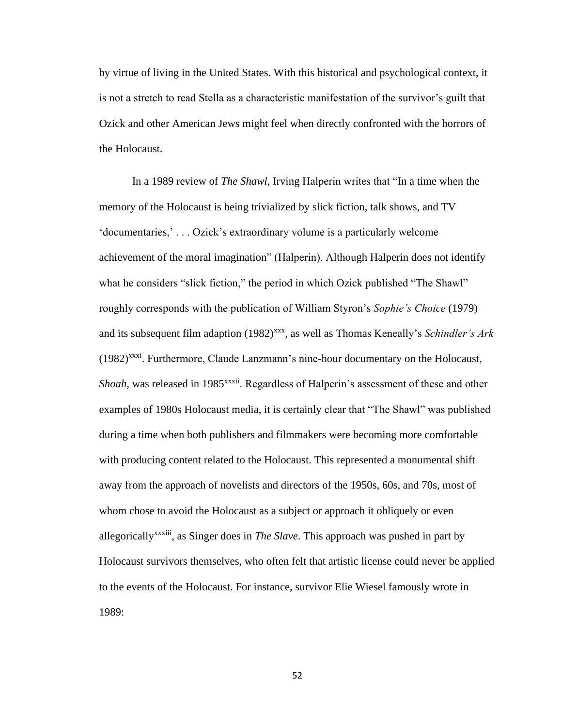by virtue of living in the United States. With this historical and psychological context, it is not a stretch to read Stella as a characteristic manifestation of the survivor's guilt that Ozick and other American Jews might feel when directly confronted with the horrors of the Holocaust.

In a 1989 review of *The Shawl*, Irving Halperin writes that "In a time when the memory of the Holocaust is being trivialized by slick fiction, talk shows, and TV 'documentaries,' . . . Ozick's extraordinary volume is a particularly welcome achievement of the moral imagination" (Halperin). Although Halperin does not identify what he considers "slick fiction," the period in which Ozick published "The Shawl" roughly corresponds with the publication of William Styron's *Sophie's Choice* (1979) and its subsequent film adaption (1982)<sup>xxx</sup>, as well as Thomas Keneally's *Schindler's Ark*  $(1982)^{xxx}$ . Furthermore, Claude Lanzmann's nine-hour documentary on the Holocaust, *Shoah*, was released in 1985<sup>xxxii</sup>. Regardless of Halperin's assessment of these and other examples of 1980s Holocaust media, it is certainly clear that "The Shawl" was published during a time when both publishers and filmmakers were becoming more comfortable with producing content related to the Holocaust. This represented a monumental shift away from the approach of novelists and directors of the 1950s, 60s, and 70s, most of whom chose to avoid the Holocaust as a subject or approach it obliquely or even allegoricallyxxxiii, as Singer does in *The Slave*. This approach was pushed in part by Holocaust survivors themselves, who often felt that artistic license could never be applied to the events of the Holocaust. For instance, survivor Elie Wiesel famously wrote in 1989: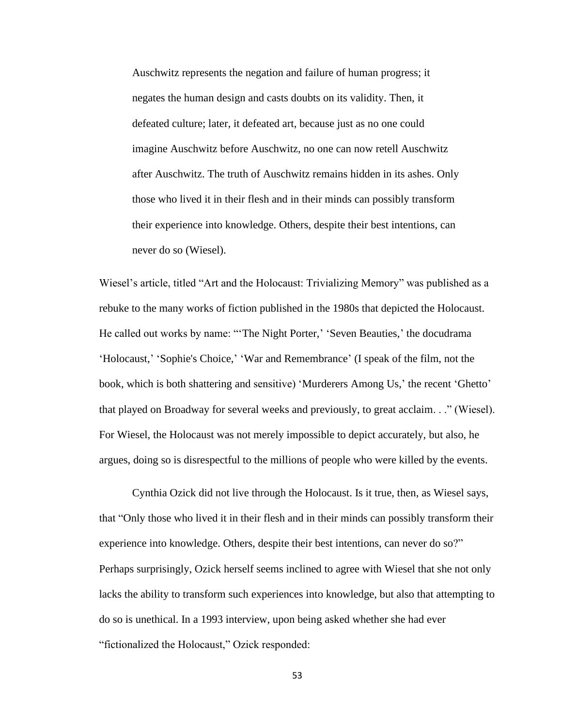Auschwitz represents the negation and failure of human progress; it negates the human design and casts doubts on its validity. Then, it defeated culture; later, it defeated art, because just as no one could imagine Auschwitz before Auschwitz, no one can now retell Auschwitz after Auschwitz. The truth of Auschwitz remains hidden in its ashes. Only those who lived it in their flesh and in their minds can possibly transform their experience into knowledge. Others, despite their best intentions, can never do so (Wiesel).

Wiesel's article, titled "Art and the Holocaust: Trivializing Memory" was published as a rebuke to the many works of fiction published in the 1980s that depicted the Holocaust. He called out works by name: "'The Night Porter,' 'Seven Beauties,' the docudrama 'Holocaust,' 'Sophie's Choice,' 'War and Remembrance' (I speak of the film, not the book, which is both shattering and sensitive) 'Murderers Among Us,' the recent 'Ghetto' that played on Broadway for several weeks and previously, to great acclaim. . ." (Wiesel). For Wiesel, the Holocaust was not merely impossible to depict accurately, but also, he argues, doing so is disrespectful to the millions of people who were killed by the events.

Cynthia Ozick did not live through the Holocaust. Is it true, then, as Wiesel says, that "Only those who lived it in their flesh and in their minds can possibly transform their experience into knowledge. Others, despite their best intentions, can never do so?" Perhaps surprisingly, Ozick herself seems inclined to agree with Wiesel that she not only lacks the ability to transform such experiences into knowledge, but also that attempting to do so is unethical. In a 1993 interview, upon being asked whether she had ever "fictionalized the Holocaust," Ozick responded: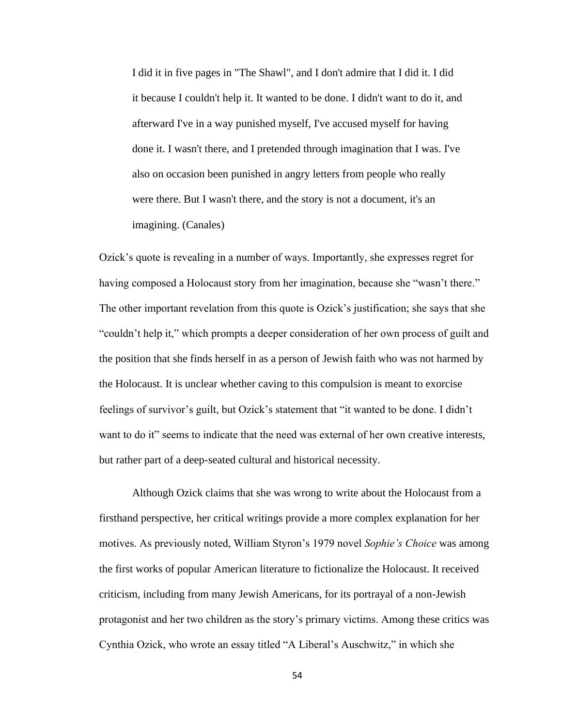I did it in five pages in "The Shawl", and I don't admire that I did it. I did it because I couldn't help it. It wanted to be done. I didn't want to do it, and afterward I've in a way punished myself, I've accused myself for having done it. I wasn't there, and I pretended through imagination that I was. I've also on occasion been punished in angry letters from people who really were there. But I wasn't there, and the story is not a document, it's an imagining. (Canales)

Ozick's quote is revealing in a number of ways. Importantly, she expresses regret for having composed a Holocaust story from her imagination, because she "wasn't there." The other important revelation from this quote is Ozick's justification; she says that she "couldn't help it," which prompts a deeper consideration of her own process of guilt and the position that she finds herself in as a person of Jewish faith who was not harmed by the Holocaust. It is unclear whether caving to this compulsion is meant to exorcise feelings of survivor's guilt, but Ozick's statement that "it wanted to be done. I didn't want to do it" seems to indicate that the need was external of her own creative interests, but rather part of a deep-seated cultural and historical necessity.

Although Ozick claims that she was wrong to write about the Holocaust from a firsthand perspective, her critical writings provide a more complex explanation for her motives. As previously noted, William Styron's 1979 novel *Sophie's Choice* was among the first works of popular American literature to fictionalize the Holocaust. It received criticism, including from many Jewish Americans, for its portrayal of a non-Jewish protagonist and her two children as the story's primary victims. Among these critics was Cynthia Ozick, who wrote an essay titled "A Liberal's Auschwitz," in which she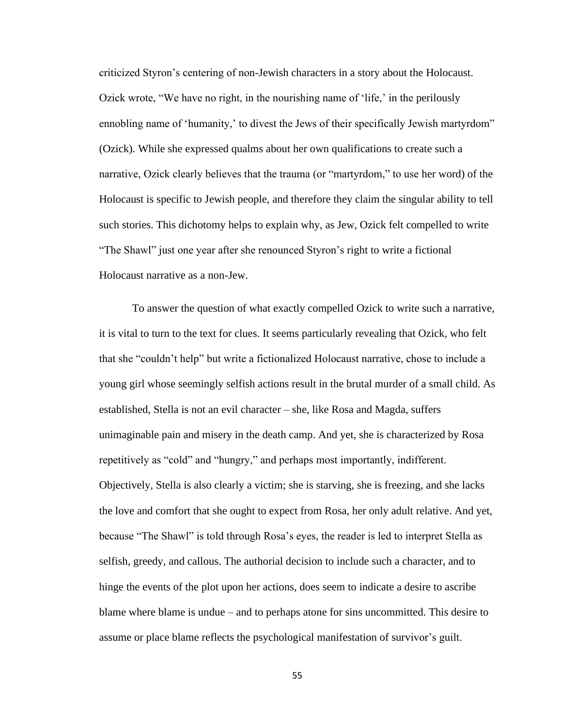criticized Styron's centering of non-Jewish characters in a story about the Holocaust. Ozick wrote, "We have no right, in the nourishing name of 'life,' in the perilously ennobling name of 'humanity,' to divest the Jews of their specifically Jewish martyrdom" (Ozick). While she expressed qualms about her own qualifications to create such a narrative, Ozick clearly believes that the trauma (or "martyrdom," to use her word) of the Holocaust is specific to Jewish people, and therefore they claim the singular ability to tell such stories. This dichotomy helps to explain why, as Jew, Ozick felt compelled to write "The Shawl" just one year after she renounced Styron's right to write a fictional Holocaust narrative as a non-Jew.

To answer the question of what exactly compelled Ozick to write such a narrative, it is vital to turn to the text for clues. It seems particularly revealing that Ozick, who felt that she "couldn't help" but write a fictionalized Holocaust narrative, chose to include a young girl whose seemingly selfish actions result in the brutal murder of a small child. As established, Stella is not an evil character – she, like Rosa and Magda, suffers unimaginable pain and misery in the death camp. And yet, she is characterized by Rosa repetitively as "cold" and "hungry," and perhaps most importantly, indifferent. Objectively, Stella is also clearly a victim; she is starving, she is freezing, and she lacks the love and comfort that she ought to expect from Rosa, her only adult relative. And yet, because "The Shawl" is told through Rosa's eyes, the reader is led to interpret Stella as selfish, greedy, and callous. The authorial decision to include such a character, and to hinge the events of the plot upon her actions, does seem to indicate a desire to ascribe blame where blame is undue – and to perhaps atone for sins uncommitted. This desire to assume or place blame reflects the psychological manifestation of survivor's guilt.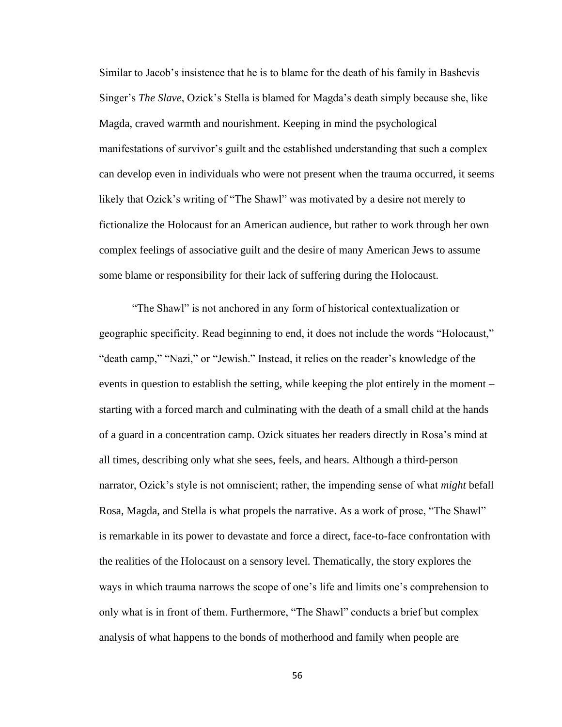Similar to Jacob's insistence that he is to blame for the death of his family in Bashevis Singer's *The Slave*, Ozick's Stella is blamed for Magda's death simply because she, like Magda, craved warmth and nourishment. Keeping in mind the psychological manifestations of survivor's guilt and the established understanding that such a complex can develop even in individuals who were not present when the trauma occurred, it seems likely that Ozick's writing of "The Shawl" was motivated by a desire not merely to fictionalize the Holocaust for an American audience, but rather to work through her own complex feelings of associative guilt and the desire of many American Jews to assume some blame or responsibility for their lack of suffering during the Holocaust.

"The Shawl" is not anchored in any form of historical contextualization or geographic specificity. Read beginning to end, it does not include the words "Holocaust," "death camp," "Nazi," or "Jewish." Instead, it relies on the reader's knowledge of the events in question to establish the setting, while keeping the plot entirely in the moment – starting with a forced march and culminating with the death of a small child at the hands of a guard in a concentration camp. Ozick situates her readers directly in Rosa's mind at all times, describing only what she sees, feels, and hears. Although a third-person narrator, Ozick's style is not omniscient; rather, the impending sense of what *might* befall Rosa, Magda, and Stella is what propels the narrative. As a work of prose, "The Shawl" is remarkable in its power to devastate and force a direct, face-to-face confrontation with the realities of the Holocaust on a sensory level. Thematically, the story explores the ways in which trauma narrows the scope of one's life and limits one's comprehension to only what is in front of them. Furthermore, "The Shawl" conducts a brief but complex analysis of what happens to the bonds of motherhood and family when people are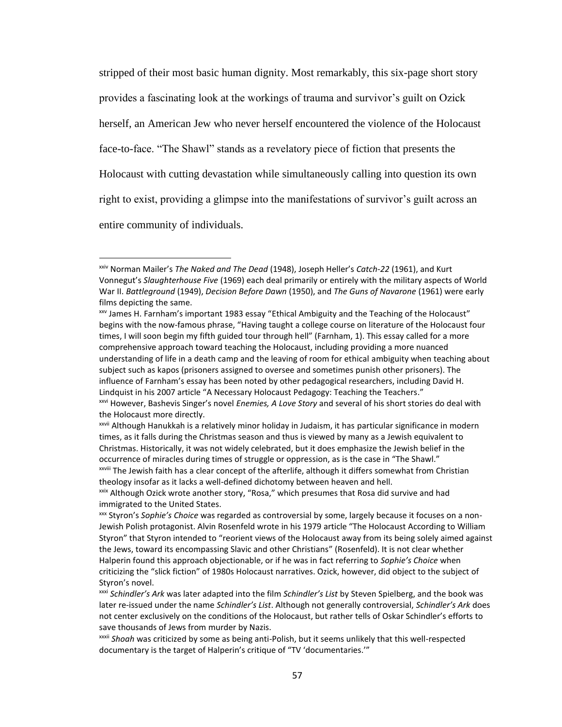stripped of their most basic human dignity. Most remarkably, this six-page short story provides a fascinating look at the workings of trauma and survivor's guilt on Ozick herself, an American Jew who never herself encountered the violence of the Holocaust face-to-face. "The Shawl" stands as a revelatory piece of fiction that presents the Holocaust with cutting devastation while simultaneously calling into question its own right to exist, providing a glimpse into the manifestations of survivor's guilt across an entire community of individuals.

xxiv Norman Mailer's *The Naked and The Dead* (1948), Joseph Heller's *Catch-22* (1961), and Kurt Vonnegut's *Slaughterhouse Five* (1969) each deal primarily or entirely with the military aspects of World War II. *Battleground* (1949), *Decision Before Dawn* (1950), and *The Guns of Navarone* (1961) were early films depicting the same.

xxv James H. Farnham's important 1983 essay "Ethical Ambiguity and the Teaching of the Holocaust" begins with the now-famous phrase, "Having taught a college course on literature of the Holocaust four times, I will soon begin my fifth guided tour through hell" (Farnham, 1). This essay called for a more comprehensive approach toward teaching the Holocaust, including providing a more nuanced understanding of life in a death camp and the leaving of room for ethical ambiguity when teaching about subject such as kapos (prisoners assigned to oversee and sometimes punish other prisoners). The influence of Farnham's essay has been noted by other pedagogical researchers, including David H. Lindquist in his 2007 article "A Necessary Holocaust Pedagogy: Teaching the Teachers." xxvi However, Bashevis Singer's novel *Enemies, A Love Story* and several of his short stories do deal with the Holocaust more directly.

xxvii Although Hanukkah is a relatively minor holiday in Judaism, it has particular significance in modern times, as it falls during the Christmas season and thus is viewed by many as a Jewish equivalent to Christmas. Historically, it was not widely celebrated, but it does emphasize the Jewish belief in the occurrence of miracles during times of struggle or oppression, as is the case in "The Shawl." xxviii The Jewish faith has a clear concept of the afterlife, although it differs somewhat from Christian theology insofar as it lacks a well-defined dichotomy between heaven and hell.

xxix Although Ozick wrote another story, "Rosa," which presumes that Rosa did survive and had immigrated to the United States.

xxx Styron's *Sophie's Choice* was regarded as controversial by some, largely because it focuses on a non-Jewish Polish protagonist. Alvin Rosenfeld wrote in his 1979 article "The Holocaust According to William Styron" that Styron intended to "reorient views of the Holocaust away from its being solely aimed against the Jews, toward its encompassing Slavic and other Christians" (Rosenfeld). It is not clear whether Halperin found this approach objectionable, or if he was in fact referring to *Sophie's Choice* when criticizing the "slick fiction" of 1980s Holocaust narratives. Ozick, however, did object to the subject of Styron's novel.

xxxi *Schindler's Ark* was later adapted into the film *Schindler's List* by Steven Spielberg, and the book was later re-issued under the name *Schindler's List*. Although not generally controversial, *Schindler's Ark* does not center exclusively on the conditions of the Holocaust, but rather tells of Oskar Schindler's efforts to save thousands of Jews from murder by Nazis.

xxxii *Shoah* was criticized by some as being anti-Polish, but it seems unlikely that this well-respected documentary is the target of Halperin's critique of "TV 'documentaries.'"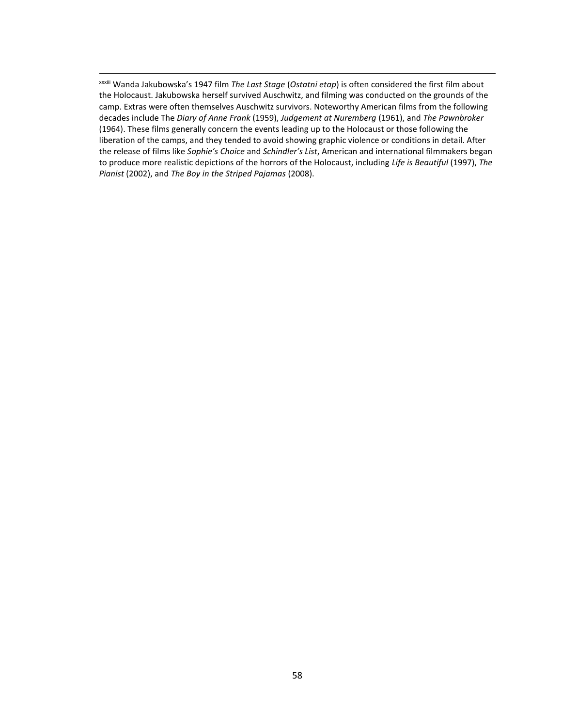xxxiii Wanda Jakubowska's 1947 film *The Last Stage* (*Ostatni etap*) is often considered the first film about the Holocaust. Jakubowska herself survived Auschwitz, and filming was conducted on the grounds of the camp. Extras were often themselves Auschwitz survivors. Noteworthy American films from the following decades include The *Diary of Anne Frank* (1959), *Judgement at Nuremberg* (1961), and *The Pawnbroker* (1964). These films generally concern the events leading up to the Holocaust or those following the liberation of the camps, and they tended to avoid showing graphic violence or conditions in detail. After the release of films like *Sophie's Choice* and *Schindler's List*, American and international filmmakers began to produce more realistic depictions of the horrors of the Holocaust, including *Life is Beautiful* (1997), *The Pianist* (2002), and *The Boy in the Striped Pajamas* (2008).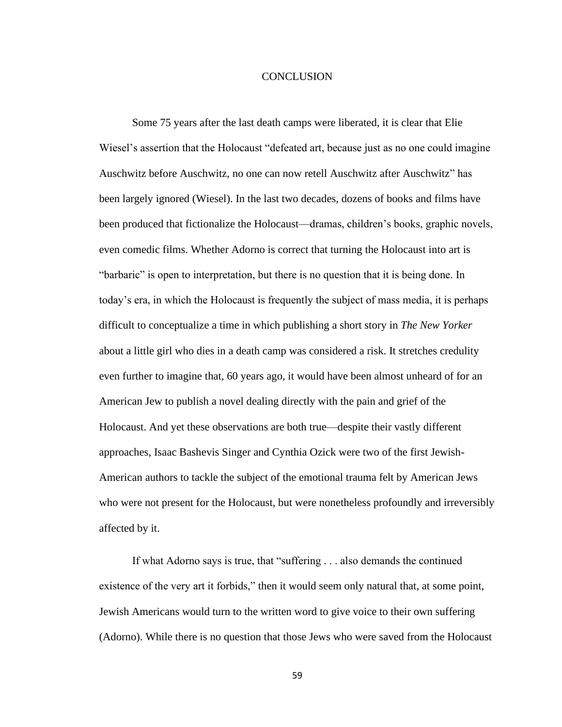#### **CONCLUSION**

<span id="page-64-0"></span>Some 75 years after the last death camps were liberated, it is clear that Elie Wiesel's assertion that the Holocaust "defeated art, because just as no one could imagine Auschwitz before Auschwitz, no one can now retell Auschwitz after Auschwitz" has been largely ignored (Wiesel). In the last two decades, dozens of books and films have been produced that fictionalize the Holocaust—dramas, children's books, graphic novels, even comedic films. Whether Adorno is correct that turning the Holocaust into art is "barbaric" is open to interpretation, but there is no question that it is being done. In today's era, in which the Holocaust is frequently the subject of mass media, it is perhaps difficult to conceptualize a time in which publishing a short story in *The New Yorker* about a little girl who dies in a death camp was considered a risk. It stretches credulity even further to imagine that, 60 years ago, it would have been almost unheard of for an American Jew to publish a novel dealing directly with the pain and grief of the Holocaust. And yet these observations are both true—despite their vastly different approaches, Isaac Bashevis Singer and Cynthia Ozick were two of the first Jewish-American authors to tackle the subject of the emotional trauma felt by American Jews who were not present for the Holocaust, but were nonetheless profoundly and irreversibly affected by it.

If what Adorno says is true, that "suffering . . . also demands the continued existence of the very art it forbids," then it would seem only natural that, at some point, Jewish Americans would turn to the written word to give voice to their own suffering (Adorno). While there is no question that those Jews who were saved from the Holocaust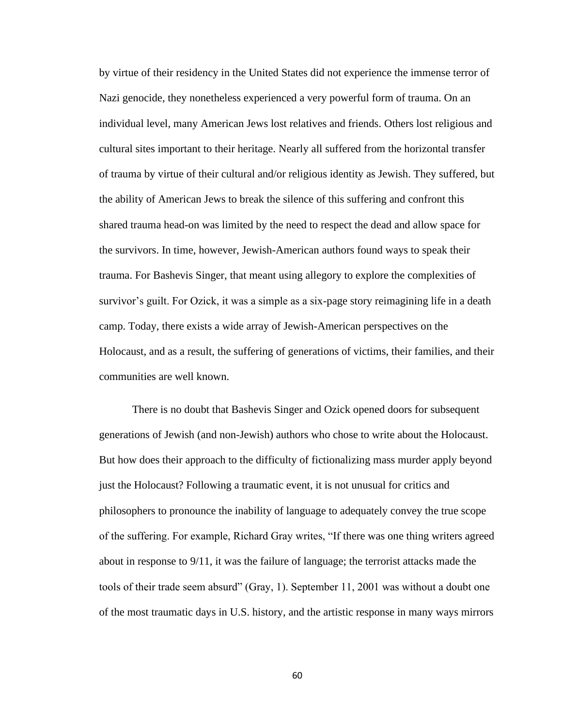by virtue of their residency in the United States did not experience the immense terror of Nazi genocide, they nonetheless experienced a very powerful form of trauma. On an individual level, many American Jews lost relatives and friends. Others lost religious and cultural sites important to their heritage. Nearly all suffered from the horizontal transfer of trauma by virtue of their cultural and/or religious identity as Jewish. They suffered, but the ability of American Jews to break the silence of this suffering and confront this shared trauma head-on was limited by the need to respect the dead and allow space for the survivors. In time, however, Jewish-American authors found ways to speak their trauma. For Bashevis Singer, that meant using allegory to explore the complexities of survivor's guilt. For Ozick, it was a simple as a six-page story reimagining life in a death camp. Today, there exists a wide array of Jewish-American perspectives on the Holocaust, and as a result, the suffering of generations of victims, their families, and their communities are well known.

There is no doubt that Bashevis Singer and Ozick opened doors for subsequent generations of Jewish (and non-Jewish) authors who chose to write about the Holocaust. But how does their approach to the difficulty of fictionalizing mass murder apply beyond just the Holocaust? Following a traumatic event, it is not unusual for critics and philosophers to pronounce the inability of language to adequately convey the true scope of the suffering. For example, Richard Gray writes, "If there was one thing writers agreed about in response to 9/11, it was the failure of language; the terrorist attacks made the tools of their trade seem absurd" (Gray, 1). September 11, 2001 was without a doubt one of the most traumatic days in U.S. history, and the artistic response in many ways mirrors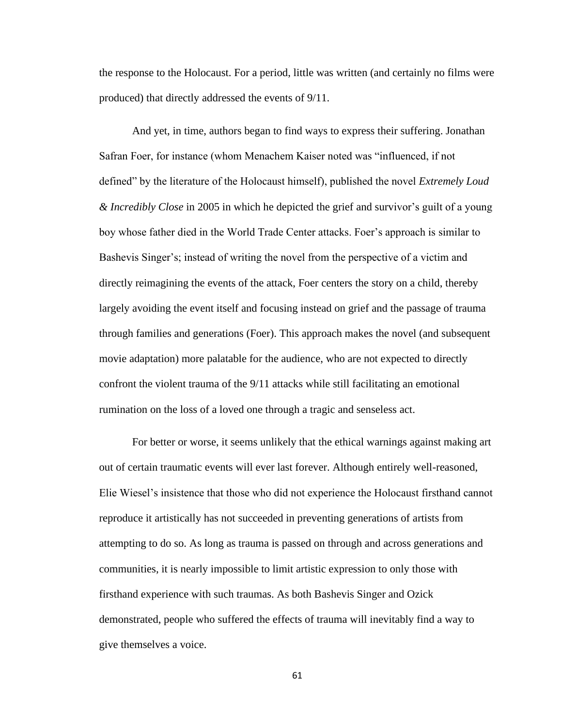the response to the Holocaust. For a period, little was written (and certainly no films were produced) that directly addressed the events of 9/11.

And yet, in time, authors began to find ways to express their suffering. Jonathan Safran Foer, for instance (whom Menachem Kaiser noted was "influenced, if not defined" by the literature of the Holocaust himself), published the novel *Extremely Loud & Incredibly Close* in 2005 in which he depicted the grief and survivor's guilt of a young boy whose father died in the World Trade Center attacks. Foer's approach is similar to Bashevis Singer's; instead of writing the novel from the perspective of a victim and directly reimagining the events of the attack, Foer centers the story on a child, thereby largely avoiding the event itself and focusing instead on grief and the passage of trauma through families and generations (Foer). This approach makes the novel (and subsequent movie adaptation) more palatable for the audience, who are not expected to directly confront the violent trauma of the 9/11 attacks while still facilitating an emotional rumination on the loss of a loved one through a tragic and senseless act.

For better or worse, it seems unlikely that the ethical warnings against making art out of certain traumatic events will ever last forever. Although entirely well-reasoned, Elie Wiesel's insistence that those who did not experience the Holocaust firsthand cannot reproduce it artistically has not succeeded in preventing generations of artists from attempting to do so. As long as trauma is passed on through and across generations and communities, it is nearly impossible to limit artistic expression to only those with firsthand experience with such traumas. As both Bashevis Singer and Ozick demonstrated, people who suffered the effects of trauma will inevitably find a way to give themselves a voice.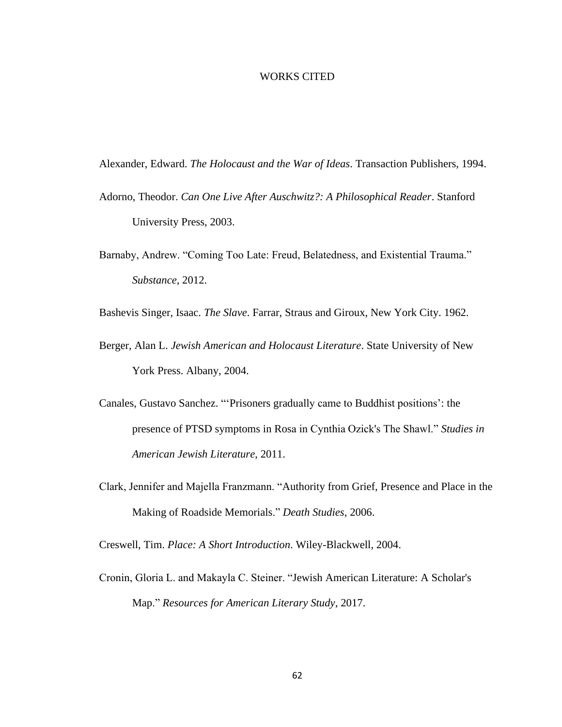#### WORKS CITED

<span id="page-67-0"></span>Alexander, Edward. *The Holocaust and the War of Ideas*. Transaction Publishers, 1994.

- Adorno, Theodor. *Can One Live After Auschwitz?: A Philosophical Reader*. Stanford University Press, 2003.
- Barnaby, Andrew. "Coming Too Late: Freud, Belatedness, and Existential Trauma." *Substance*, 2012.

Bashevis Singer, Isaac. *The Slave*. Farrar, Straus and Giroux, New York City. 1962.

- Berger, Alan L. *Jewish American and Holocaust Literature*. State University of New York Press. Albany, 2004.
- Canales, Gustavo Sanchez. "'Prisoners gradually came to Buddhist positions': the presence of PTSD symptoms in Rosa in Cynthia Ozick's The Shawl." *Studies in American Jewish Literature*, 2011.
- Clark, Jennifer and Majella Franzmann. "Authority from Grief, Presence and Place in the Making of Roadside Memorials." *Death Studies*, 2006.

Creswell, Tim. *Place: A Short Introduction*. Wiley-Blackwell, 2004.

Cronin, Gloria L. and Makayla C. Steiner. "Jewish American Literature: A Scholar's Map." *Resources for American Literary Study*, 2017.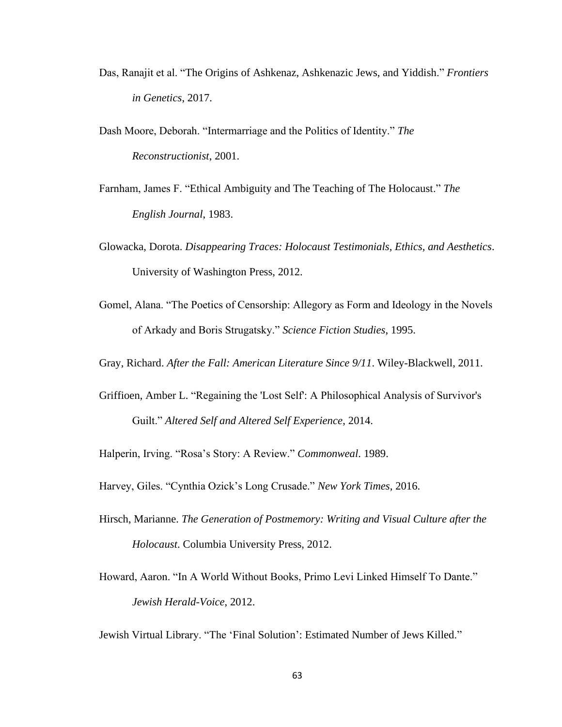Das, Ranajit et al. "The Origins of Ashkenaz, Ashkenazic Jews, and Yiddish." *Frontiers in Genetics*, 2017.

Dash Moore, Deborah. "Intermarriage and the Politics of Identity." *The Reconstructionist*, 2001.

Farnham, James F. "Ethical Ambiguity and The Teaching of The Holocaust." *The English Journal*, 1983.

- Glowacka, Dorota. *Disappearing Traces: Holocaust Testimonials, Ethics, and Aesthetics*. University of Washington Press, 2012.
- Gomel, Alana. "The Poetics of Censorship: Allegory as Form and Ideology in the Novels of Arkady and Boris Strugatsky." *Science Fiction Studies*, 1995.

Gray, Richard. *After the Fall: American Literature Since 9/11*. Wiley-Blackwell, 2011.

Griffioen, Amber L. "Regaining the 'Lost Self': A Philosophical Analysis of Survivor's Guilt." *Altered Self and Altered Self Experience*, 2014.

Halperin, Irving. "Rosa's Story: A Review." *Commonweal*. 1989.

Harvey, Giles. "Cynthia Ozick's Long Crusade." *New York Times*, 2016.

- Hirsch, Marianne. *The Generation of Postmemory: Writing and Visual Culture after the Holocaust*. Columbia University Press, 2012.
- Howard, Aaron. "In A World Without Books, Primo Levi Linked Himself To Dante." *Jewish Herald-Voice*, 2012.

Jewish Virtual Library. "The 'Final Solution': Estimated Number of Jews Killed."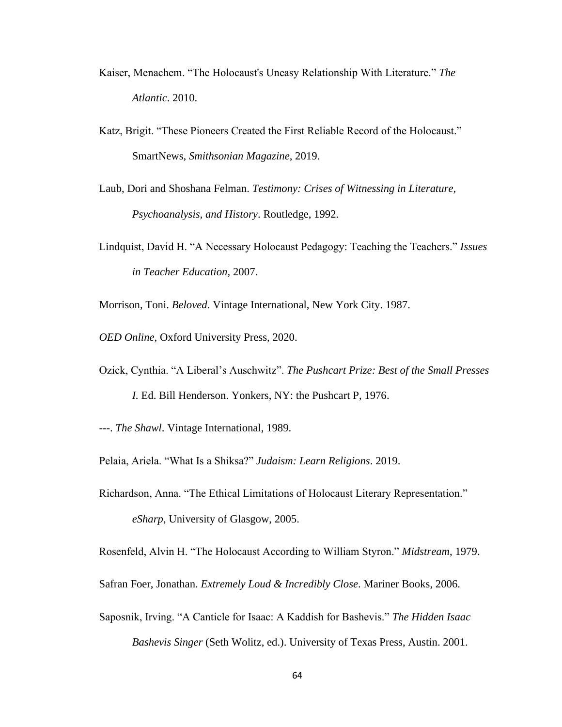- Kaiser, Menachem. "The Holocaust's Uneasy Relationship With Literature." *The Atlantic*. 2010.
- Katz, Brigit. "These Pioneers Created the First Reliable Record of the Holocaust." SmartNews, *Smithsonian Magazine*, 2019.
- Laub, Dori and Shoshana Felman. *Testimony: Crises of Witnessing in Literature, Psychoanalysis, and History*. Routledge, 1992.
- Lindquist, David H. "A Necessary Holocaust Pedagogy: Teaching the Teachers." *Issues in Teacher Education*, 2007.
- Morrison, Toni. *Beloved*. Vintage International, New York City. 1987.
- *OED Online*, Oxford University Press, 2020.
- Ozick, Cynthia. "A Liberal's Auschwitz". *The Pushcart Prize: Best of the Small Presses I.* Ed. Bill Henderson. Yonkers, NY: the Pushcart P, 1976.
- ---. *The Shawl*. Vintage International, 1989.
- Pelaia, Ariela. "What Is a Shiksa?" *Judaism: Learn Religions*. 2019.
- Richardson, Anna. "The Ethical Limitations of Holocaust Literary Representation." *eSharp*, University of Glasgow, 2005.
- Rosenfeld, Alvin H. "The Holocaust According to William Styron." *Midstream*, 1979.
- Safran Foer, Jonathan. *Extremely Loud & Incredibly Close*. Mariner Books, 2006.
- Saposnik, Irving. "A Canticle for Isaac: A Kaddish for Bashevis." *The Hidden Isaac Bashevis Singer* (Seth Wolitz, ed.). University of Texas Press, Austin. 2001.